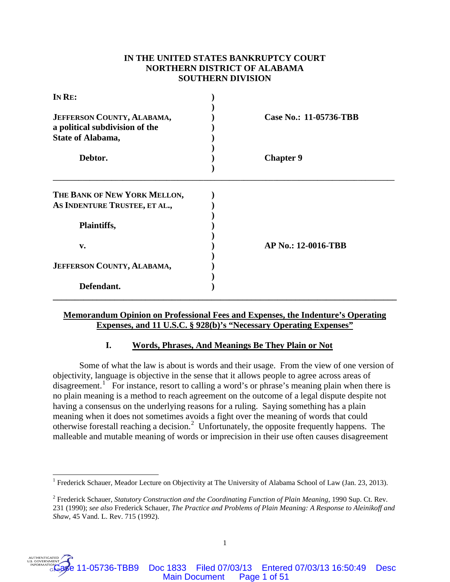# **IN THE UNITED STATES BANKRUPTCY COURT NORTHERN DISTRICT OF ALABAMA SOUTHERN DIVISION**

| IN RE:                                                                            |                            |
|-----------------------------------------------------------------------------------|----------------------------|
| JEFFERSON COUNTY, ALABAMA,<br>a political subdivision of the<br>State of Alabama, | Case No.: 11-05736-TBB     |
| Debtor.                                                                           | <b>Chapter 9</b>           |
| THE BANK OF NEW YORK MELLON,                                                      |                            |
| AS INDENTURE TRUSTEE, ET AL.,                                                     |                            |
| Plaintiffs,                                                                       |                            |
| v.                                                                                | <b>AP No.: 12-0016-TBB</b> |
| JEFFERSON COUNTY, ALABAMA,                                                        |                            |
| Defendant.                                                                        |                            |

# **Memorandum Opinion on Professional Fees and Expenses, the Indenture's Operating Expenses, and 11 U.S.C. § 928(b)'s "Necessary Operating Expenses"**

# **I. Words, Phrases, And Meanings Be They Plain or Not**

Some of what the law is about is words and their usage. From the view of one version of objectivity, language is objective in the sense that it allows people to agree across areas of disagreement.<sup>[1](#page-0-0)</sup> For instance, resort to calling a word's or phrase's meaning plain when there is no plain meaning is a method to reach agreement on the outcome of a legal dispute despite not having a consensus on the underlying reasons for a ruling. Saying something has a plain meaning when it does not sometimes avoids a fight over the meaning of words that could otherwise forestall reaching a decision.[2](#page-0-1) Unfortunately, the opposite frequently happens. The malleable and mutable meaning of words or imprecision in their use often causes disagreement



<span id="page-0-0"></span><sup>&</sup>lt;sup>1</sup> Frederick Schauer, Meador Lecture on Objectivity at The University of Alabama School of Law (Jan. 23, 2013).

<span id="page-0-1"></span><sup>2</sup> Frederick Schauer, *Statutory Construction and the Coordinating Function of Plain Meaning*, 1990 Sup. Ct. Rev. 231 (1990); *see also* Frederick Schauer, *The Practice and Problems of Plain Meaning: A Response to Aleinikoff and Shaw*, 45 Vand. L. Rev. 715 (1992).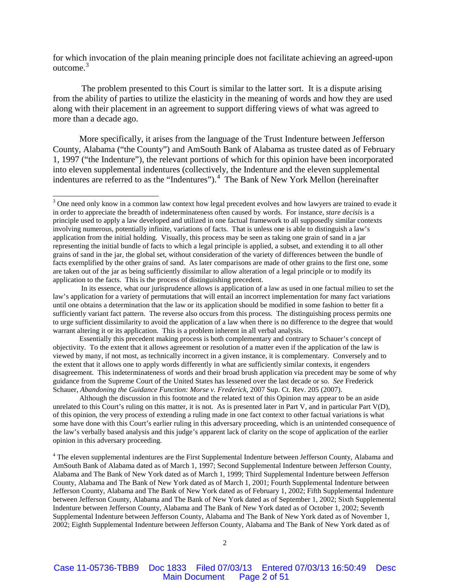for which invocation of the plain meaning principle does not facilitate achieving an agreed-upon outcome.<sup>[3](#page-1-0)</sup>

The problem presented to this Court is similar to the latter sort. It is a dispute arising from the ability of parties to utilize the elasticity in the meaning of words and how they are used along with their placement in an agreement to support differing views of what was agreed to more than a decade ago.

More specifically, it arises from the language of the Trust Indenture between Jefferson County, Alabama ("the County") and AmSouth Bank of Alabama as trustee dated as of February 1, 1997 ("the Indenture"), the relevant portions of which for this opinion have been incorporated into eleven supplemental indentures (collectively, the Indenture and the eleven supplemental indentures are referred to as the "Indentures").<sup>[4](#page-1-1)</sup> The Bank of New York Mellon (hereinafter

Although the discussion in this footnote and the related text of this Opinion may appear to be an aside unrelated to this Court's ruling on this matter, it is not. As is presented later in Part V, and in particular Part V(D), of this opinion, the very process of extending a ruling made in one fact context to other factual variations is what some have done with this Court's earlier ruling in this adversary proceeding, which is an unintended consequence of the law's verbally based analysis and this judge's apparent lack of clarity on the scope of application of the earlier opinion in this adversary proceeding.

<span id="page-1-1"></span><sup>4</sup> The eleven supplemental indentures are the First Supplemental Indenture between Jefferson County, Alabama and AmSouth Bank of Alabama dated as of March 1, 1997; Second Supplemental Indenture between Jefferson County, Alabama and The Bank of New York dated as of March 1, 1999; Third Supplemental Indenture between Jefferson County, Alabama and The Bank of New York dated as of March 1, 2001; Fourth Supplemental Indenture between Jefferson County, Alabama and The Bank of New York dated as of February 1, 2002; Fifth Supplemental Indenture between Jefferson County, Alabama and The Bank of New York dated as of September 1, 2002; Sixth Supplemental Indenture between Jefferson County, Alabama and The Bank of New York dated as of October 1, 2002; Seventh Supplemental Indenture between Jefferson County, Alabama and The Bank of New York dated as of November 1, 2002; Eighth Supplemental Indenture between Jefferson County, Alabama and The Bank of New York dated as of

<span id="page-1-0"></span><sup>&</sup>lt;sup>3</sup> One need only know in a common law context how legal precedent evolves and how lawyers are trained to evade it in order to appreciate the breadth of indeterminateness often caused by words. For instance, *stare decisis* is a principle used to apply a law developed and utilized in one factual framework to all supposedly similar contexts involving numerous, potentially infinite, variations of facts. That is unless one is able to distinguish a law's application from the initial holding. Visually, this process may be seen as taking one grain of sand in a jar representing the initial bundle of facts to which a legal principle is applied, a subset, and extending it to all other grains of sand in the jar, the global set, without consideration of the variety of differences between the bundle of facts exemplified by the other grains of sand. As later comparisons are made of other grains to the first one, some are taken out of the jar as being sufficiently dissimilar to allow alteration of a legal principle or to modify its application to the facts. This is the process of distinguishing precedent.

In its essence, what our jurisprudence allows is application of a law as used in one factual milieu to set the law's application for a variety of permutations that will entail an incorrect implementation for many fact variations until one obtains a determination that the law or its application should be modified in some fashion to better fit a sufficiently variant fact pattern. The reverse also occurs from this process. The distinguishing process permits one to urge sufficient dissimilarity to avoid the application of a law when there is no difference to the degree that would warrant altering it or its application. This is a problem inherent in all verbal analysis.

Essentially this precedent making process is both complementary and contrary to Schauer's concept of objectivity. To the extent that it allows agreement or resolution of a matter even if the application of the law is viewed by many, if not most, as technically incorrect in a given instance, it is complementary. Conversely and to the extent that it allows one to apply words differently in what are sufficiently similar contexts, it engenders disagreement. This indeterminateness of words and their broad brush application via precedent may be some of why guidance from the Supreme Court of the United States has lessened over the last decade or so. *See* Frederick Schauer, *Abandoning the Guidance Function: Morse v. Frederick*, 2007 Sup. Ct. Rev. 205 (2007).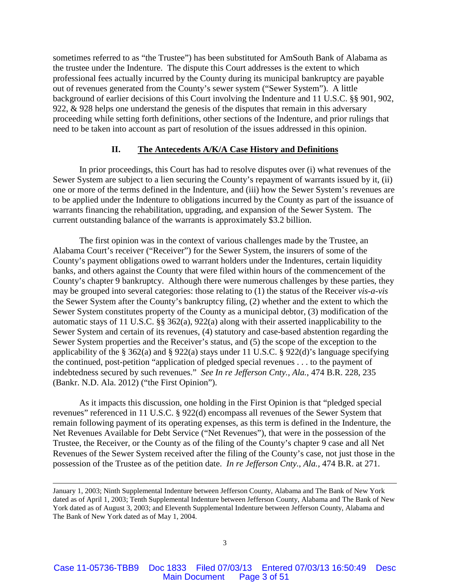sometimes referred to as "the Trustee") has been substituted for AmSouth Bank of Alabama as the trustee under the Indenture. The dispute this Court addresses is the extent to which professional fees actually incurred by the County during its municipal bankruptcy are payable out of revenues generated from the County's sewer system ("Sewer System"). A little background of earlier decisions of this Court involving the Indenture and 11 U.S.C. §§ 901, 902, 922, & 928 helps one understand the genesis of the disputes that remain in this adversary proceeding while setting forth definitions, other sections of the Indenture, and prior rulings that need to be taken into account as part of resolution of the issues addressed in this opinion.

## **II. The Antecedents A/K/A Case History and Definitions**

In prior proceedings, this Court has had to resolve disputes over (i) what revenues of the Sewer System are subject to a lien securing the County's repayment of warrants issued by it, (ii) one or more of the terms defined in the Indenture, and (iii) how the Sewer System's revenues are to be applied under the Indenture to obligations incurred by the County as part of the issuance of warrants financing the rehabilitation, upgrading, and expansion of the Sewer System. The current outstanding balance of the warrants is approximately \$3.2 billion.

The first opinion was in the context of various challenges made by the Trustee, an Alabama Court's receiver ("Receiver") for the Sewer System, the insurers of some of the County's payment obligations owed to warrant holders under the Indentures, certain liquidity banks, and others against the County that were filed within hours of the commencement of the County's chapter 9 bankruptcy. Although there were numerous challenges by these parties, they may be grouped into several categories: those relating to (1) the status of the Receiver *vis-a-vis* the Sewer System after the County's bankruptcy filing, (2) whether and the extent to which the Sewer System constitutes property of the County as a municipal debtor, (3) modification of the automatic stays of 11 U.S.C. §§ 362(a), 922(a) along with their asserted inapplicability to the Sewer System and certain of its revenues, (4) statutory and case-based abstention regarding the Sewer System properties and the Receiver's status, and (5) the scope of the exception to the applicability of the § 362(a) and § 922(a) stays under 11 U.S.C. § 922(d)'s language specifying the continued, post-petition "application of pledged special revenues . . . to the payment of indebtedness secured by such revenues." *See In re Jefferson Cnty., Ala.*, 474 B.R. 228, 235 (Bankr. N.D. Ala. 2012) ("the First Opinion").

As it impacts this discussion, one holding in the First Opinion is that "pledged special revenues" referenced in 11 U.S.C. § 922(d) encompass all revenues of the Sewer System that remain following payment of its operating expenses, as this term is defined in the Indenture, the Net Revenues Available for Debt Service ("Net Revenues"), that were in the possession of the Trustee, the Receiver, or the County as of the filing of the County's chapter 9 case and all Net Revenues of the Sewer System received after the filing of the County's case, not just those in the possession of the Trustee as of the petition date. *In re Jefferson Cnty.*, *Ala.,* 474 B.R. at 271.

 $\overline{a}$ 

January 1, 2003; Ninth Supplemental Indenture between Jefferson County, Alabama and The Bank of New York dated as of April 1, 2003; Tenth Supplemental Indenture between Jefferson County, Alabama and The Bank of New York dated as of August 3, 2003; and Eleventh Supplemental Indenture between Jefferson County, Alabama and The Bank of New York dated as of May 1, 2004.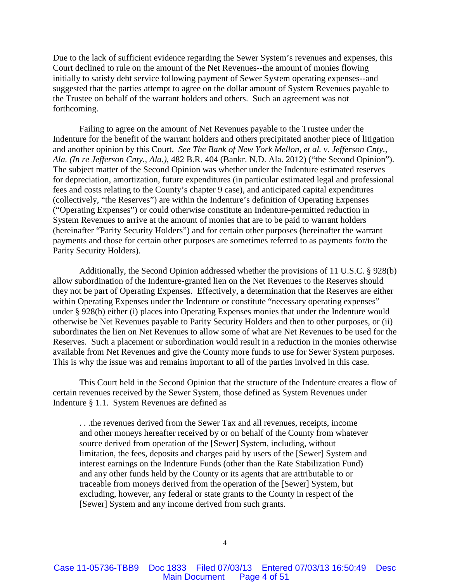Due to the lack of sufficient evidence regarding the Sewer System's revenues and expenses, this Court declined to rule on the amount of the Net Revenues--the amount of monies flowing initially to satisfy debt service following payment of Sewer System operating expenses--and suggested that the parties attempt to agree on the dollar amount of System Revenues payable to the Trustee on behalf of the warrant holders and others. Such an agreement was not forthcoming.

Failing to agree on the amount of Net Revenues payable to the Trustee under the Indenture for the benefit of the warrant holders and others precipitated another piece of litigation and another opinion by this Court. *See The Bank of New York Mellon, et al. v. Jefferson Cnty., Ala. (In re Jefferson Cnty., Ala.)*, 482 B.R. 404 (Bankr. N.D. Ala. 2012) ("the Second Opinion"). The subject matter of the Second Opinion was whether under the Indenture estimated reserves for depreciation, amortization, future expenditures (in particular estimated legal and professional fees and costs relating to the County's chapter 9 case), and anticipated capital expenditures (collectively, "the Reserves") are within the Indenture's definition of Operating Expenses ("Operating Expenses") or could otherwise constitute an Indenture-permitted reduction in System Revenues to arrive at the amount of monies that are to be paid to warrant holders (hereinafter "Parity Security Holders") and for certain other purposes (hereinafter the warrant payments and those for certain other purposes are sometimes referred to as payments for/to the Parity Security Holders).

Additionally, the Second Opinion addressed whether the provisions of 11 U.S.C. § 928(b) allow subordination of the Indenture-granted lien on the Net Revenues to the Reserves should they not be part of Operating Expenses. Effectively, a determination that the Reserves are either within Operating Expenses under the Indenture or constitute "necessary operating expenses" under § 928(b) either (i) places into Operating Expenses monies that under the Indenture would otherwise be Net Revenues payable to Parity Security Holders and then to other purposes, or (ii) subordinates the lien on Net Revenues to allow some of what are Net Revenues to be used for the Reserves. Such a placement or subordination would result in a reduction in the monies otherwise available from Net Revenues and give the County more funds to use for Sewer System purposes. This is why the issue was and remains important to all of the parties involved in this case.

This Court held in the Second Opinion that the structure of the Indenture creates a flow of certain revenues received by the Sewer System, those defined as System Revenues under Indenture § 1.1. System Revenues are defined as

. . .the revenues derived from the Sewer Tax and all revenues, receipts, income and other moneys hereafter received by or on behalf of the County from whatever source derived from operation of the [Sewer] System, including, without limitation, the fees, deposits and charges paid by users of the [Sewer] System and interest earnings on the Indenture Funds (other than the Rate Stabilization Fund) and any other funds held by the County or its agents that are attributable to or traceable from moneys derived from the operation of the [Sewer] System, but excluding, however, any federal or state grants to the County in respect of the [Sewer] System and any income derived from such grants.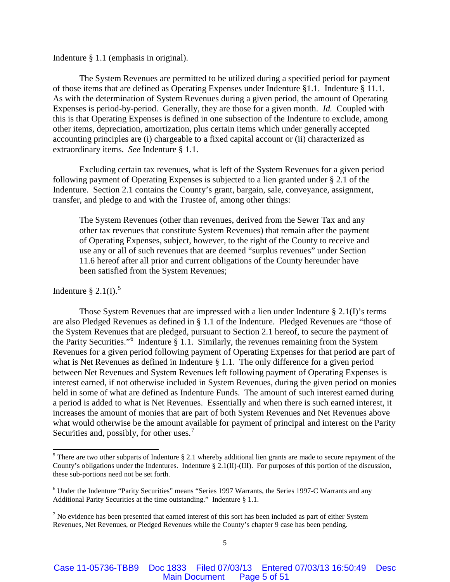Indenture § 1.1 (emphasis in original).

The System Revenues are permitted to be utilized during a specified period for payment of those items that are defined as Operating Expenses under Indenture §1.1. Indenture § 11.1. As with the determination of System Revenues during a given period, the amount of Operating Expenses is period-by-period. Generally, they are those for a given month. *Id.* Coupled with this is that Operating Expenses is defined in one subsection of the Indenture to exclude, among other items, depreciation, amortization, plus certain items which under generally accepted accounting principles are (i) chargeable to a fixed capital account or (ii) characterized as extraordinary items. *See* Indenture § 1.1.

Excluding certain tax revenues, what is left of the System Revenues for a given period following payment of Operating Expenses is subjected to a lien granted under § 2.1 of the Indenture. Section 2.1 contains the County's grant, bargain, sale, conveyance, assignment, transfer, and pledge to and with the Trustee of, among other things:

The System Revenues (other than revenues, derived from the Sewer Tax and any other tax revenues that constitute System Revenues) that remain after the payment of Operating Expenses, subject, however, to the right of the County to receive and use any or all of such revenues that are deemed "surplus revenues" under Section 11.6 hereof after all prior and current obligations of the County hereunder have been satisfied from the System Revenues;

# Indenture  $\S 2.1(I).$ <sup>[5](#page-4-0)</sup>

Those System Revenues that are impressed with a lien under Indenture § 2.1(I)'s terms are also Pledged Revenues as defined in § 1.1 of the Indenture. Pledged Revenues are "those of the System Revenues that are pledged, pursuant to Section 2.1 hereof, to secure the payment of the Parity Securities."<sup>[6](#page-4-1)</sup> Indenture  $\S 1.1$ . Similarly, the revenues remaining from the System Revenues for a given period following payment of Operating Expenses for that period are part of what is Net Revenues as defined in Indenture § 1.1. The only difference for a given period between Net Revenues and System Revenues left following payment of Operating Expenses is interest earned, if not otherwise included in System Revenues, during the given period on monies held in some of what are defined as Indenture Funds. The amount of such interest earned during a period is added to what is Net Revenues. Essentially and when there is such earned interest, it increases the amount of monies that are part of both System Revenues and Net Revenues above what would otherwise be the amount available for payment of principal and interest on the Parity Securities and, possibly, for other uses.<sup>[7](#page-4-2)</sup>

<span id="page-4-0"></span><sup>&</sup>lt;sup>5</sup> There are two other subparts of Indenture § 2.1 whereby additional lien grants are made to secure repayment of the County's obligations under the Indentures. Indenture § 2.1(II)-(III). For purposes of this portion of the discussion, these sub-portions need not be set forth.

<span id="page-4-1"></span><sup>6</sup> Under the Indenture "Parity Securities" means "Series 1997 Warrants, the Series 1997-C Warrants and any Additional Parity Securities at the time outstanding." Indenture § 1.1.

<span id="page-4-2"></span> $<sup>7</sup>$  No evidence has been presented that earned interest of this sort has been included as part of either System</sup> Revenues, Net Revenues, or Pledged Revenues while the County's chapter 9 case has been pending.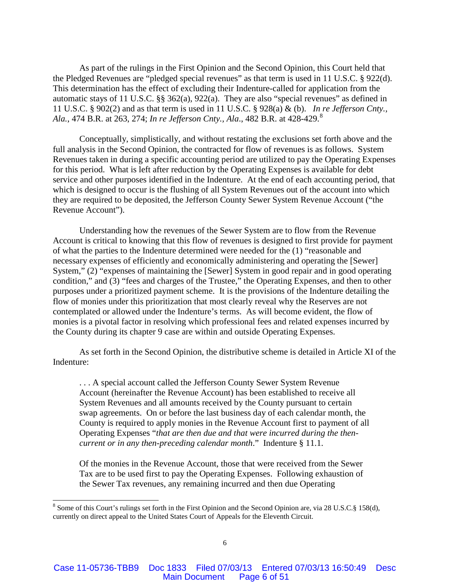As part of the rulings in the First Opinion and the Second Opinion, this Court held that the Pledged Revenues are "pledged special revenues" as that term is used in 11 U.S.C. § 922(d). This determination has the effect of excluding their Indenture-called for application from the automatic stays of 11 U.S.C. §§ 362(a), 922(a). They are also "special revenues" as defined in 11 U.S.C. § 902(2) and as that term is used in 11 U.S.C. § 928(a) & (b). *In re Jefferson Cnty., Ala.*, 474 B.R. at 263, 274; *In re Jefferson Cnty., Ala*., 482 B.R. at 428-429. [8](#page-5-0)

Conceptually, simplistically, and without restating the exclusions set forth above and the full analysis in the Second Opinion, the contracted for flow of revenues is as follows. System Revenues taken in during a specific accounting period are utilized to pay the Operating Expenses for this period. What is left after reduction by the Operating Expenses is available for debt service and other purposes identified in the Indenture. At the end of each accounting period, that which is designed to occur is the flushing of all System Revenues out of the account into which they are required to be deposited, the Jefferson County Sewer System Revenue Account ("the Revenue Account").

Understanding how the revenues of the Sewer System are to flow from the Revenue Account is critical to knowing that this flow of revenues is designed to first provide for payment of what the parties to the Indenture determined were needed for the (1) "reasonable and necessary expenses of efficiently and economically administering and operating the [Sewer] System," (2) "expenses of maintaining the [Sewer] System in good repair and in good operating condition," and (3) "fees and charges of the Trustee," the Operating Expenses, and then to other purposes under a prioritized payment scheme. It is the provisions of the Indenture detailing the flow of monies under this prioritization that most clearly reveal why the Reserves are not contemplated or allowed under the Indenture's terms. As will become evident, the flow of monies is a pivotal factor in resolving which professional fees and related expenses incurred by the County during its chapter 9 case are within and outside Operating Expenses.

As set forth in the Second Opinion, the distributive scheme is detailed in Article XI of the Indenture:

. . . A special account called the Jefferson County Sewer System Revenue Account (hereinafter the Revenue Account) has been established to receive all System Revenues and all amounts received by the County pursuant to certain swap agreements. On or before the last business day of each calendar month, the County is required to apply monies in the Revenue Account first to payment of all Operating Expenses "*that are then due and that were incurred during the thencurrent or in any then-preceding calendar month*." Indenture § 11.1.

Of the monies in the Revenue Account, those that were received from the Sewer Tax are to be used first to pay the Operating Expenses. Following exhaustion of the Sewer Tax revenues, any remaining incurred and then due Operating

<span id="page-5-0"></span> <sup>8</sup> Some of this Court's rulings set forth in the First Opinion and the Second Opinion are, via 28 U.S.C.§ 158(d), currently on direct appeal to the United States Court of Appeals for the Eleventh Circuit.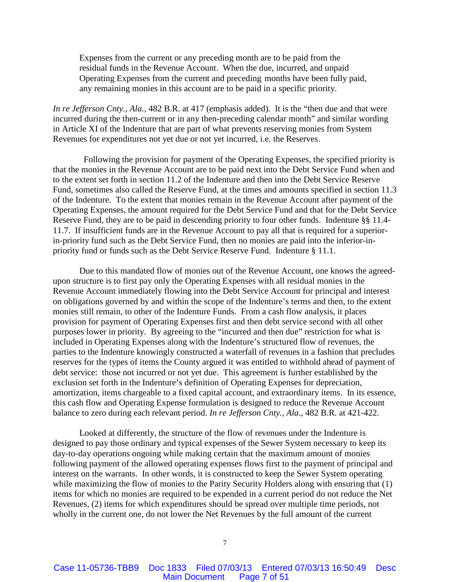Expenses from the current or any preceding month are to be paid from the residual funds in the Revenue Account. When the due, incurred, and unpaid Operating Expenses from the current and preceding months have been fully paid, any remaining monies in this account are to be paid in a specific priority.

*In re Jefferson Cnty., Ala.,* 482 B.R. at 417 (emphasis added). It is the "then due and that were incurred during the then-current or in any then-preceding calendar month" and similar wording in Article XI of the Indenture that are part of what prevents reserving monies from System Revenues for expenditures not yet due or not yet incurred, i.e. the Reserves.

 Following the provision for payment of the Operating Expenses, the specified priority is that the monies in the Revenue Account are to be paid next into the Debt Service Fund when and to the extent set forth in section 11.2 of the Indenture and then into the Debt Service Reserve Fund, sometimes also called the Reserve Fund, at the times and amounts specified in section 11.3 of the Indenture. To the extent that monies remain in the Revenue Account after payment of the Operating Expenses, the amount required for the Debt Service Fund and that for the Debt Service Reserve Fund, they are to be paid in descending priority to four other funds. Indenture §§ 11.4- 11.7. If insufficient funds are in the Revenue Account to pay all that is required for a superiorin-priority fund such as the Debt Service Fund, then no monies are paid into the inferior-inpriority fund or funds such as the Debt Service Reserve Fund. Indenture § 11.1.

Due to this mandated flow of monies out of the Revenue Account, one knows the agreedupon structure is to first pay only the Operating Expenses with all residual monies in the Revenue Account immediately flowing into the Debt Service Account for principal and interest on obligations governed by and within the scope of the Indenture's terms and then, to the extent monies still remain, to other of the Indenture Funds. From a cash flow analysis, it places provision for payment of Operating Expenses first and then debt service second with all other purposes lower in priority. By agreeing to the "incurred and then due" restriction for what is included in Operating Expenses along with the Indenture's structured flow of revenues, the parties to the Indenture knowingly constructed a waterfall of revenues in a fashion that precludes reserves for the types of items the County argued it was entitled to withhold ahead of payment of debt service: those not incurred or not yet due. This agreement is further established by the exclusion set forth in the Indenture's definition of Operating Expenses for depreciation, amortization, items chargeable to a fixed capital account, and extraordinary items. In its essence, this cash flow and Operating Expense formulation is designed to reduce the Revenue Account balance to zero during each relevant period. *In re Jefferson Cnty., Ala*., 482 B.R. at 421-422.

Looked at differently, the structure of the flow of revenues under the Indenture is designed to pay those ordinary and typical expenses of the Sewer System necessary to keep its day-to-day operations ongoing while making certain that the maximum amount of monies following payment of the allowed operating expenses flows first to the payment of principal and interest on the warrants. In other words, it is constructed to keep the Sewer System operating while maximizing the flow of monies to the Parity Security Holders along with ensuring that (1) items for which no monies are required to be expended in a current period do not reduce the Net Revenues, (2) items for which expenditures should be spread over multiple time periods, not wholly in the current one, do not lower the Net Revenues by the full amount of the current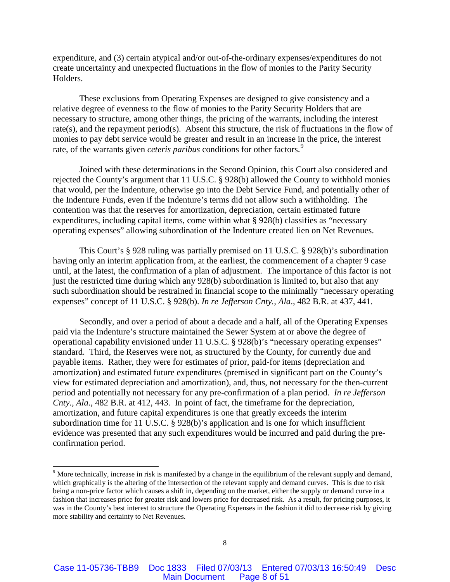expenditure, and (3) certain atypical and/or out-of-the-ordinary expenses/expenditures do not create uncertainty and unexpected fluctuations in the flow of monies to the Parity Security Holders.

These exclusions from Operating Expenses are designed to give consistency and a relative degree of evenness to the flow of monies to the Parity Security Holders that are necessary to structure, among other things, the pricing of the warrants, including the interest rate(s), and the repayment period(s). Absent this structure, the risk of fluctuations in the flow of monies to pay debt service would be greater and result in an increase in the price, the interest rate, of the warrants given *ceteris paribus* conditions for other factors.<sup>[9](#page-7-0)</sup>

Joined with these determinations in the Second Opinion, this Court also considered and rejected the County's argument that 11 U.S.C. § 928(b) allowed the County to withhold monies that would, per the Indenture, otherwise go into the Debt Service Fund, and potentially other of the Indenture Funds, even if the Indenture's terms did not allow such a withholding. The contention was that the reserves for amortization, depreciation, certain estimated future expenditures, including capital items, come within what § 928(b) classifies as "necessary operating expenses" allowing subordination of the Indenture created lien on Net Revenues.

This Court's § 928 ruling was partially premised on 11 U.S.C. § 928(b)'s subordination having only an interim application from, at the earliest, the commencement of a chapter 9 case until, at the latest, the confirmation of a plan of adjustment. The importance of this factor is not just the restricted time during which any 928(b) subordination is limited to, but also that any such subordination should be restrained in financial scope to the minimally "necessary operating expenses" concept of 11 U.S.C. § 928(b). *In re Jefferson Cnty., Ala*., 482 B.R. at 437, 441.

Secondly, and over a period of about a decade and a half, all of the Operating Expenses paid via the Indenture's structure maintained the Sewer System at or above the degree of operational capability envisioned under 11 U.S.C. § 928(b)'s "necessary operating expenses" standard. Third, the Reserves were not, as structured by the County, for currently due and payable items. Rather, they were for estimates of prior, paid-for items (depreciation and amortization) and estimated future expenditures (premised in significant part on the County's view for estimated depreciation and amortization), and, thus, not necessary for the then-current period and potentially not necessary for any pre-confirmation of a plan period. *In re Jefferson Cnty., Ala*., 482 B.R. at 412, 443. In point of fact, the timeframe for the depreciation, amortization, and future capital expenditures is one that greatly exceeds the interim subordination time for 11 U.S.C. § 928(b)'s application and is one for which insufficient evidence was presented that any such expenditures would be incurred and paid during the preconfirmation period.

<span id="page-7-0"></span><sup>&</sup>lt;sup>9</sup> More technically, increase in risk is manifested by a change in the equilibrium of the relevant supply and demand, which graphically is the altering of the intersection of the relevant supply and demand curves. This is due to risk being a non-price factor which causes a shift in, depending on the market, either the supply or demand curve in a fashion that increases price for greater risk and lowers price for decreased risk. As a result, for pricing purposes, it was in the County's best interest to structure the Operating Expenses in the fashion it did to decrease risk by giving more stability and certainty to Net Revenues.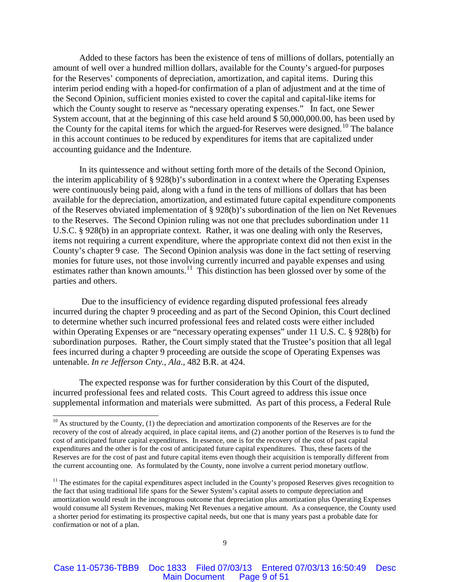Added to these factors has been the existence of tens of millions of dollars, potentially an amount of well over a hundred million dollars, available for the County's argued-for purposes for the Reserves' components of depreciation, amortization, and capital items. During this interim period ending with a hoped-for confirmation of a plan of adjustment and at the time of the Second Opinion, sufficient monies existed to cover the capital and capital-like items for which the County sought to reserve as "necessary operating expenses." In fact, one Sewer System account, that at the beginning of this case held around \$ 50,000,000.00, has been used by the County for the capital items for which the argued-for Reserves were designed.<sup>[10](#page-8-0)</sup> The balance in this account continues to be reduced by expenditures for items that are capitalized under accounting guidance and the Indenture.

In its quintessence and without setting forth more of the details of the Second Opinion, the interim applicability of § 928(b)'s subordination in a context where the Operating Expenses were continuously being paid, along with a fund in the tens of millions of dollars that has been available for the depreciation, amortization, and estimated future capital expenditure components of the Reserves obviated implementation of § 928(b)'s subordination of the lien on Net Revenues to the Reserves. The Second Opinion ruling was not one that precludes subordination under 11 U.S.C. § 928(b) in an appropriate context. Rather, it was one dealing with only the Reserves, items not requiring a current expenditure, where the appropriate context did not then exist in the County's chapter 9 case. The Second Opinion analysis was done in the fact setting of reserving monies for future uses, not those involving currently incurred and payable expenses and using estimates rather than known amounts.<sup>[11](#page-8-1)</sup> This distinction has been glossed over by some of the parties and others.

Due to the insufficiency of evidence regarding disputed professional fees already incurred during the chapter 9 proceeding and as part of the Second Opinion, this Court declined to determine whether such incurred professional fees and related costs were either included within Operating Expenses or are "necessary operating expenses" under 11 U.S. C. § 928(b) for subordination purposes. Rather, the Court simply stated that the Trustee's position that all legal fees incurred during a chapter 9 proceeding are outside the scope of Operating Expenses was untenable. *In re Jefferson Cnty., Ala*., 482 B.R. at 424.

The expected response was for further consideration by this Court of the disputed, incurred professional fees and related costs. This Court agreed to address this issue once supplemental information and materials were submitted. As part of this process, a Federal Rule

<span id="page-8-0"></span> $10$  As structured by the County, (1) the depreciation and amortization components of the Reserves are for the recovery of the cost of already acquired, in place capital items, and (2) another portion of the Reserves is to fund the cost of anticipated future capital expenditures. In essence, one is for the recovery of the cost of past capital expenditures and the other is for the cost of anticipated future capital expenditures. Thus, these facets of the Reserves are for the cost of past and future capital items even though their acquisition is temporally different from the current accounting one. As formulated by the County, none involve a current period monetary outflow.

<span id="page-8-1"></span> $11$  The estimates for the capital expenditures aspect included in the County's proposed Reserves gives recognition to the fact that using traditional life spans for the Sewer System's capital assets to compute depreciation and amortization would result in the incongruous outcome that depreciation plus amortization plus Operating Expenses would consume all System Revenues, making Net Revenues a negative amount. As a consequence, the County used a shorter period for estimating its prospective capital needs, but one that is many years past a probable date for confirmation or not of a plan.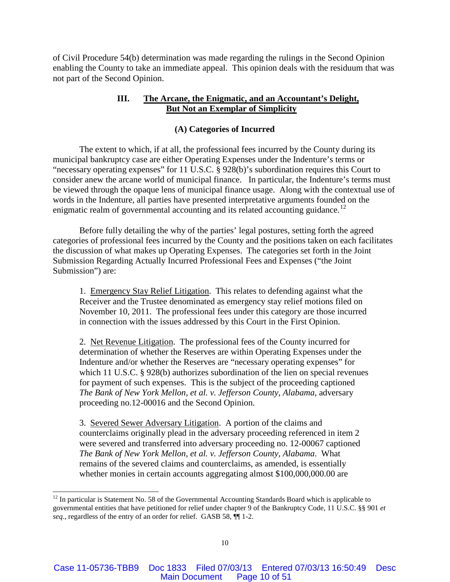of Civil Procedure 54(b) determination was made regarding the rulings in the Second Opinion enabling the County to take an immediate appeal. This opinion deals with the residuum that was not part of the Second Opinion.

# **III. The Arcane, the Enigmatic, and an Accountant's Delight, But Not an Exemplar of Simplicity**

## **(A) Categories of Incurred**

The extent to which, if at all, the professional fees incurred by the County during its municipal bankruptcy case are either Operating Expenses under the Indenture's terms or "necessary operating expenses" for 11 U.S.C. § 928(b)'s subordination requires this Court to consider anew the arcane world of municipal finance. In particular, the Indenture's terms must be viewed through the opaque lens of municipal finance usage. Along with the contextual use of words in the Indenture, all parties have presented interpretative arguments founded on the enigmatic realm of governmental accounting and its related accounting guidance.<sup>[12](#page-9-0)</sup>

Before fully detailing the why of the parties' legal postures, setting forth the agreed categories of professional fees incurred by the County and the positions taken on each facilitates the discussion of what makes up Operating Expenses. The categories set forth in the Joint Submission Regarding Actually Incurred Professional Fees and Expenses ("the Joint Submission") are:

1. Emergency Stay Relief Litigation. This relates to defending against what the Receiver and the Trustee denominated as emergency stay relief motions filed on November 10, 2011. The professional fees under this category are those incurred in connection with the issues addressed by this Court in the First Opinion.

2. Net Revenue Litigation. The professional fees of the County incurred for determination of whether the Reserves are within Operating Expenses under the Indenture and/or whether the Reserves are "necessary operating expenses" for which 11 U.S.C. § 928(b) authorizes subordination of the lien on special revenues for payment of such expenses. This is the subject of the proceeding captioned *The Bank of New York Mellon, et al. v. Jefferson County, Alabama*, adversary proceeding no.12-00016 and the Second Opinion.

3. Severed Sewer Adversary Litigation. A portion of the claims and counterclaims originally plead in the adversary proceeding referenced in item 2 were severed and transferred into adversary proceeding no. 12-00067 captioned *The Bank of New York Mellon, et al. v. Jefferson County, Alabama*. What remains of the severed claims and counterclaims, as amended, is essentially whether monies in certain accounts aggregating almost \$100,000,000.00 are

<span id="page-9-0"></span> $12$  In particular is Statement No. 58 of the Governmental Accounting Standards Board which is applicable to governmental entities that have petitioned for relief under chapter 9 of the Bankruptcy Code, 11 U.S.C. §§ 901 *et seq.*, regardless of the entry of an order for relief. GASB 58, ¶¶ 1-2.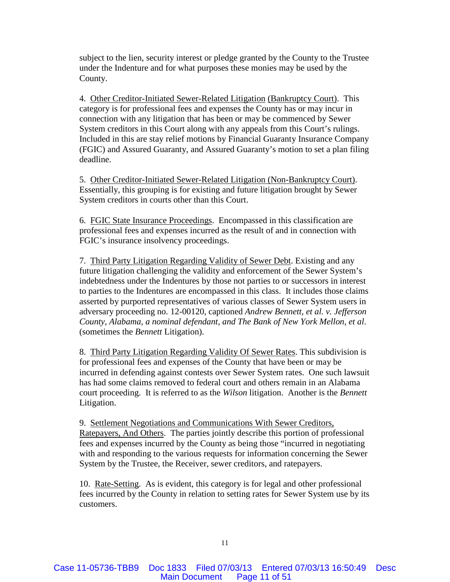subject to the lien, security interest or pledge granted by the County to the Trustee under the Indenture and for what purposes these monies may be used by the County.

4. Other Creditor-Initiated Sewer-Related Litigation (Bankruptcy Court). This category is for professional fees and expenses the County has or may incur in connection with any litigation that has been or may be commenced by Sewer System creditors in this Court along with any appeals from this Court's rulings. Included in this are stay relief motions by Financial Guaranty Insurance Company (FGIC) and Assured Guaranty, and Assured Guaranty's motion to set a plan filing deadline.

5. Other Creditor-Initiated Sewer-Related Litigation (Non-Bankruptcy Court). Essentially, this grouping is for existing and future litigation brought by Sewer System creditors in courts other than this Court.

6. FGIC State Insurance Proceedings. Encompassed in this classification are professional fees and expenses incurred as the result of and in connection with FGIC's insurance insolvency proceedings.

7. Third Party Litigation Regarding Validity of Sewer Debt. Existing and any future litigation challenging the validity and enforcement of the Sewer System's indebtedness under the Indentures by those not parties to or successors in interest to parties to the Indentures are encompassed in this class. It includes those claims asserted by purported representatives of various classes of Sewer System users in adversary proceeding no. 12-00120, captioned *Andrew Bennett, et al. v. Jefferson County, Alabama, a nominal defendant, and The Bank of New York Mellon, et al*. (sometimes the *Bennett* Litigation).

8. Third Party Litigation Regarding Validity Of Sewer Rates. This subdivision is for professional fees and expenses of the County that have been or may be incurred in defending against contests over Sewer System rates. One such lawsuit has had some claims removed to federal court and others remain in an Alabama court proceeding. It is referred to as the *Wilson* litigation. Another is the *Bennett* Litigation.

9. Settlement Negotiations and Communications With Sewer Creditors, Ratepayers, And Others. The parties jointly describe this portion of professional fees and expenses incurred by the County as being those "incurred in negotiating with and responding to the various requests for information concerning the Sewer System by the Trustee, the Receiver, sewer creditors, and ratepayers.

10. Rate-Setting. As is evident, this category is for legal and other professional fees incurred by the County in relation to setting rates for Sewer System use by its customers.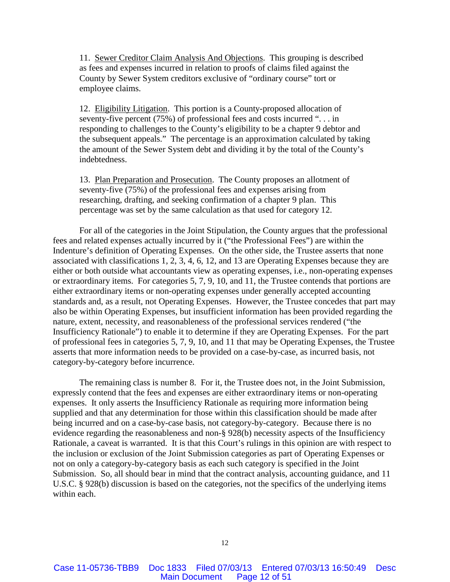11. Sewer Creditor Claim Analysis And Objections. This grouping is described as fees and expenses incurred in relation to proofs of claims filed against the County by Sewer System creditors exclusive of "ordinary course" tort or employee claims.

12. Eligibility Litigation. This portion is a County-proposed allocation of seventy-five percent (75%) of professional fees and costs incurred ". . . in responding to challenges to the County's eligibility to be a chapter 9 debtor and the subsequent appeals." The percentage is an approximation calculated by taking the amount of the Sewer System debt and dividing it by the total of the County's indebtedness.

13. Plan Preparation and Prosecution. The County proposes an allotment of seventy-five (75%) of the professional fees and expenses arising from researching, drafting, and seeking confirmation of a chapter 9 plan. This percentage was set by the same calculation as that used for category 12.

For all of the categories in the Joint Stipulation, the County argues that the professional fees and related expenses actually incurred by it ("the Professional Fees") are within the Indenture's definition of Operating Expenses. On the other side, the Trustee asserts that none associated with classifications 1, 2, 3, 4, 6, 12, and 13 are Operating Expenses because they are either or both outside what accountants view as operating expenses, i.e., non-operating expenses or extraordinary items. For categories 5, 7, 9, 10, and 11, the Trustee contends that portions are either extraordinary items or non-operating expenses under generally accepted accounting standards and, as a result, not Operating Expenses. However, the Trustee concedes that part may also be within Operating Expenses, but insufficient information has been provided regarding the nature, extent, necessity, and reasonableness of the professional services rendered ("the Insufficiency Rationale") to enable it to determine if they are Operating Expenses. For the part of professional fees in categories 5, 7, 9, 10, and 11 that may be Operating Expenses, the Trustee asserts that more information needs to be provided on a case-by-case, as incurred basis, not category-by-category before incurrence.

The remaining class is number 8. For it, the Trustee does not, in the Joint Submission, expressly contend that the fees and expenses are either extraordinary items or non-operating expenses. It only asserts the Insufficiency Rationale as requiring more information being supplied and that any determination for those within this classification should be made after being incurred and on a case-by-case basis, not category-by-category. Because there is no evidence regarding the reasonableness and non-§ 928(b) necessity aspects of the Insufficiency Rationale, a caveat is warranted. It is that this Court's rulings in this opinion are with respect to the inclusion or exclusion of the Joint Submission categories as part of Operating Expenses or not on only a category-by-category basis as each such category is specified in the Joint Submission. So, all should bear in mind that the contract analysis, accounting guidance, and 11 U.S.C. § 928(b) discussion is based on the categories, not the specifics of the underlying items within each.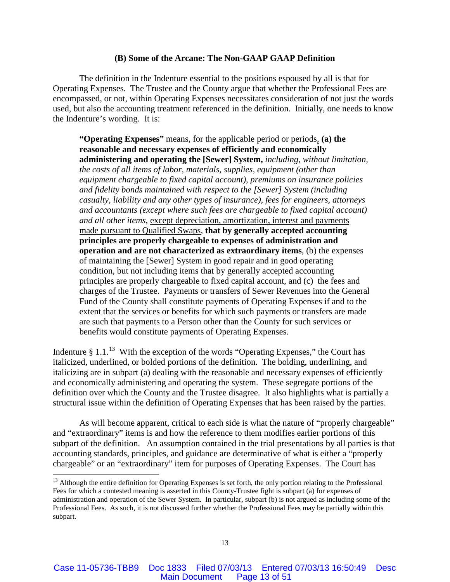#### **(B) Some of the Arcane: The Non-GAAP GAAP Definition**

The definition in the Indenture essential to the positions espoused by all is that for Operating Expenses. The Trustee and the County argue that whether the Professional Fees are encompassed, or not, within Operating Expenses necessitates consideration of not just the words used, but also the accounting treatment referenced in the definition. Initially, one needs to know the Indenture's wording. It is:

**"Operating Expenses"** means, for the applicable period or periods, **(a) the reasonable and necessary expenses of efficiently and economically administering and operating the [Sewer] System,** *including, without limitation, the costs of all items of labor, materials, supplies, equipment (other than equipment chargeable to fixed capital account)*, *premiums on insurance policies and fidelity bonds maintained with respect to the [Sewer] System (including casualty, liability and any other types of insurance), fees for engineers, attorneys and accountants (except where such fees are chargeable to fixed capital account) and all other items*, except depreciation, amortization, interest and payments made pursuant to Qualified Swaps, **that by generally accepted accounting principles are properly chargeable to expenses of administration and operation and are not characterized as extraordinary items**, (b) the expenses of maintaining the [Sewer] System in good repair and in good operating condition, but not including items that by generally accepted accounting principles are properly chargeable to fixed capital account, and (c) the fees and charges of the Trustee. Payments or transfers of Sewer Revenues into the General Fund of the County shall constitute payments of Operating Expenses if and to the extent that the services or benefits for which such payments or transfers are made are such that payments to a Person other than the County for such services or benefits would constitute payments of Operating Expenses.

Indenture  $\S 1.1<sup>13</sup>$  $\S 1.1<sup>13</sup>$  $\S 1.1<sup>13</sup>$  With the exception of the words "Operating Expenses," the Court has italicized, underlined, or bolded portions of the definition. The bolding, underlining, and italicizing are in subpart (a) dealing with the reasonable and necessary expenses of efficiently and economically administering and operating the system. These segregate portions of the definition over which the County and the Trustee disagree. It also highlights what is partially a structural issue within the definition of Operating Expenses that has been raised by the parties.

As will become apparent, critical to each side is what the nature of "properly chargeable" and "extraordinary" items is and how the reference to them modifies earlier portions of this subpart of the definition. An assumption contained in the trial presentations by all parties is that accounting standards, principles, and guidance are determinative of what is either a "properly chargeable" or an "extraordinary" item for purposes of Operating Expenses. The Court has

<span id="page-12-0"></span> $13$  Although the entire definition for Operating Expenses is set forth, the only portion relating to the Professional Fees for which a contested meaning is asserted in this County-Trustee fight is subpart (a) for expenses of administration and operation of the Sewer System. In particular, subpart (b) is not argued as including some of the Professional Fees. As such, it is not discussed further whether the Professional Fees may be partially within this subpart.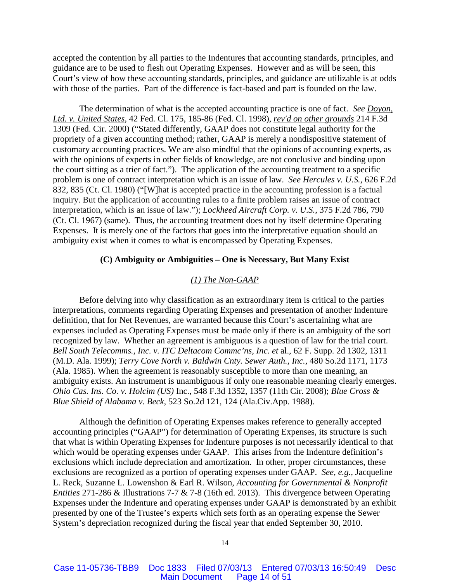accepted the contention by all parties to the Indentures that accounting standards, principles, and guidance are to be used to flesh out Operating Expenses. However and as will be seen, this Court's view of how these accounting standards, principles, and guidance are utilizable is at odds with those of the parties. Part of the difference is fact-based and part is founded on the law.

The determination of what is the accepted accounting practice is one of fact. *See Doyon, Ltd. v. United States*, 42 Fed. Cl. 175, 185-86 (Fed. Cl. 1998), *rev'd on other grounds* 214 F.3d 1309 (Fed. Cir. 2000) ("Stated differently, GAAP does not constitute legal authority for the propriety of a given accounting method; rather, GAAP is merely a nondispositive statement of customary accounting practices. We are also mindful that the opinions of accounting experts, as with the opinions of experts in other fields of knowledge, are not conclusive and binding upon the court sitting as a trier of fact."). The application of the accounting treatment to a specific problem is one of contract interpretation which is an issue of law. *See Hercules v. U.S.*, 626 F.2d 832, 835 (Ct. Cl. 1980) ("[W]hat is accepted practice in the accounting profession is a factual inquiry. But the application of accounting rules to a finite problem raises an issue of contract interpretation, which is an issue of law."); *Lockheed Aircraft Corp. v. U.S.*, 375 F.2d 786, 790 (Ct. Cl. 1967) (same). Thus, the accounting treatment does not by itself determine Operating Expenses. It is merely one of the factors that goes into the interpretative equation should an ambiguity exist when it comes to what is encompassed by Operating Expenses.

## **(C) Ambiguity or Ambiguities – One is Necessary, But Many Exist**

## *(1) The Non-GAAP*

Before delving into why classification as an extraordinary item is critical to the parties interpretations, comments regarding Operating Expenses and presentation of another Indenture definition, that for Net Revenues, are warranted because this Court's ascertaining what are expenses included as Operating Expenses must be made only if there is an ambiguity of the sort recognized by law. Whether an agreement is ambiguous is a question of law for the trial court. *Bell South Telecomms., Inc. v. ITC Deltacom Commc'ns, Inc. et* al., 62 F. Supp. 2d 1302, 1311 (M.D. Ala. 1999); *Terry Cove North v. Baldwin Cnty. Sewer Auth., Inc.*, 480 So.2d 1171, 1173 (Ala. 1985). When the agreement is reasonably susceptible to more than one meaning, an ambiguity exists. An instrument is unambiguous if only one reasonable meaning clearly emerges. *Ohio Cas. Ins. Co. v. Holcim (US)* Inc., 548 F.3d 1352, 1357 (11th Cir. 2008); *Blue Cross & Blue Shield of Alabama v. Beck*, 523 So.2d 121, 124 (Ala.Civ.App. 1988).

Although the definition of Operating Expenses makes reference to generally accepted accounting principles ("GAAP") for determination of Operating Expenses, its structure is such that what is within Operating Expenses for Indenture purposes is not necessarily identical to that which would be operating expenses under GAAP. This arises from the Indenture definition's exclusions which include depreciation and amortization. In other, proper circumstances, these exclusions are recognized as a portion of operating expenses under GAAP. *See, e.g.,* Jacqueline L. Reck, Suzanne L. Lowenshon & Earl R. Wilson, *Accounting for Governmental & Nonprofit Entities* 271-286 & Illustrations 7-7 & 7-8 (16th ed. 2013). This divergence between Operating Expenses under the Indenture and operating expenses under GAAP is demonstrated by an exhibit presented by one of the Trustee's experts which sets forth as an operating expense the Sewer System's depreciation recognized during the fiscal year that ended September 30, 2010.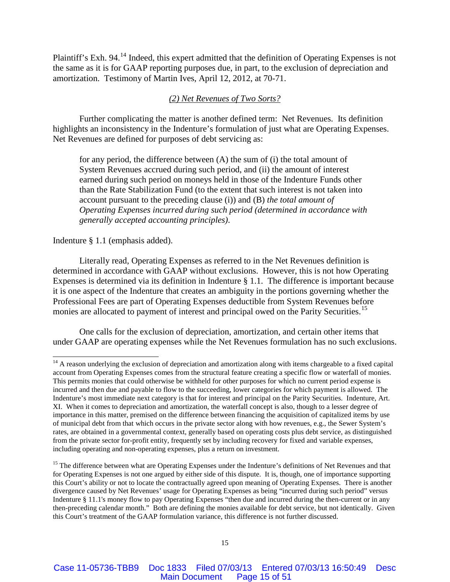Plaintiff's Exh. 94.<sup>[14](#page-14-0)</sup> Indeed, this expert admitted that the definition of Operating Expenses is not the same as it is for GAAP reporting purposes due, in part, to the exclusion of depreciation and amortization. Testimony of Martin Ives, April 12, 2012, at 70-71.

# *(2) Net Revenues of Two Sorts?*

Further complicating the matter is another defined term: Net Revenues. Its definition highlights an inconsistency in the Indenture's formulation of just what are Operating Expenses. Net Revenues are defined for purposes of debt servicing as:

for any period, the difference between (A) the sum of (i) the total amount of System Revenues accrued during such period, and (ii) the amount of interest earned during such period on moneys held in those of the Indenture Funds other than the Rate Stabilization Fund (to the extent that such interest is not taken into account pursuant to the preceding clause (i)) and (B) *the total amount of Operating Expenses incurred during such period (determined in accordance with generally accepted accounting principles)*.

### Indenture § 1.1 (emphasis added).

Literally read, Operating Expenses as referred to in the Net Revenues definition is determined in accordance with GAAP without exclusions. However, this is not how Operating Expenses is determined via its definition in Indenture § 1.1. The difference is important because it is one aspect of the Indenture that creates an ambiguity in the portions governing whether the Professional Fees are part of Operating Expenses deductible from System Revenues before monies are allocated to payment of interest and principal owed on the Parity Securities.<sup>[15](#page-14-1)</sup>

One calls for the exclusion of depreciation, amortization, and certain other items that under GAAP are operating expenses while the Net Revenues formulation has no such exclusions.

<span id="page-14-0"></span> $14$  A reason underlying the exclusion of depreciation and amortization along with items chargeable to a fixed capital account from Operating Expenses comes from the structural feature creating a specific flow or waterfall of monies. This permits monies that could otherwise be withheld for other purposes for which no current period expense is incurred and then due and payable to flow to the succeeding, lower categories for which payment is allowed. The Indenture's most immediate next category is that for interest and principal on the Parity Securities. Indenture, Art. XI. When it comes to depreciation and amortization, the waterfall concept is also, though to a lesser degree of importance in this matter, premised on the difference between financing the acquisition of capitalized items by use of municipal debt from that which occurs in the private sector along with how revenues, e.g., the Sewer System's rates, are obtained in a governmental context, generally based on operating costs plus debt service, as distinguished from the private sector for-profit entity, frequently set by including recovery for fixed and variable expenses, including operating and non-operating expenses, plus a return on investment.

<span id="page-14-1"></span><sup>&</sup>lt;sup>15</sup> The difference between what are Operating Expenses under the Indenture's definitions of Net Revenues and that for Operating Expenses is not one argued by either side of this dispute. It is, though, one of importance supporting this Court's ability or not to locate the contractually agreed upon meaning of Operating Expenses. There is another divergence caused by Net Revenues' usage for Operating Expenses as being "incurred during such period" versus Indenture § 11.1's money flow to pay Operating Expenses "then due and incurred during the then-current or in any then-preceding calendar month." Both are defining the monies available for debt service, but not identically. Given this Court's treatment of the GAAP formulation variance, this difference is not further discussed.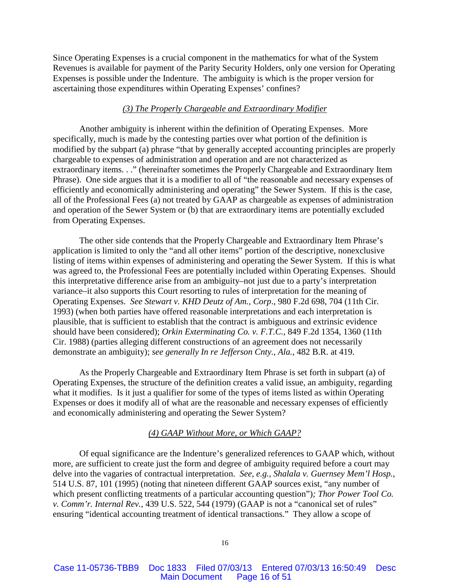Since Operating Expenses is a crucial component in the mathematics for what of the System Revenues is available for payment of the Parity Security Holders, only one version for Operating Expenses is possible under the Indenture. The ambiguity is which is the proper version for ascertaining those expenditures within Operating Expenses' confines?

## *(3) The Properly Chargeable and Extraordinary Modifier*

Another ambiguity is inherent within the definition of Operating Expenses. More specifically, much is made by the contesting parties over what portion of the definition is modified by the subpart (a) phrase "that by generally accepted accounting principles are properly chargeable to expenses of administration and operation and are not characterized as extraordinary items. . ." (hereinafter sometimes the Properly Chargeable and Extraordinary Item Phrase). One side argues that it is a modifier to all of "the reasonable and necessary expenses of efficiently and economically administering and operating" the Sewer System. If this is the case, all of the Professional Fees (a) not treated by GAAP as chargeable as expenses of administration and operation of the Sewer System or (b) that are extraordinary items are potentially excluded from Operating Expenses.

The other side contends that the Properly Chargeable and Extraordinary Item Phrase's application is limited to only the "and all other items" portion of the descriptive, nonexclusive listing of items within expenses of administering and operating the Sewer System. If this is what was agreed to, the Professional Fees are potentially included within Operating Expenses. Should this interpretative difference arise from an ambiguity–not just due to a party's interpretation variance–it also supports this Court resorting to rules of interpretation for the meaning of Operating Expenses. *See Stewart v. KHD Deutz of Am., Corp*., 980 F.2d 698, 704 (11th Cir. 1993) (when both parties have offered reasonable interpretations and each interpretation is plausible, that is sufficient to establish that the contract is ambiguous and extrinsic evidence should have been considered); *Orkin Exterminating Co. v. F.T.C.,* 849 F.2d 1354, 1360 (11th Cir. 1988) (parties alleging different constructions of an agreement does not necessarily demonstrate an ambiguity); *see generally In re Jefferson Cnty., Ala.*, 482 B.R. at 419.

As the Properly Chargeable and Extraordinary Item Phrase is set forth in subpart (a) of Operating Expenses, the structure of the definition creates a valid issue, an ambiguity, regarding what it modifies. Is it just a qualifier for some of the types of items listed as within Operating Expenses or does it modify all of what are the reasonable and necessary expenses of efficiently and economically administering and operating the Sewer System?

## *(4) GAAP Without More, or Which GAAP?*

Of equal significance are the Indenture's generalized references to GAAP which, without more, are sufficient to create just the form and degree of ambiguity required before a court may delve into the vagaries of contractual interpretation. *See, e.g., Shalala v. Guernsey Mem'l Hosp.*, 514 U.S. 87, 101 (1995) (noting that nineteen different GAAP sources exist, "any number of which present conflicting treatments of a particular accounting question")*; Thor Power Tool Co. v. Comm'r. Internal Rev.*, 439 U.S. 522, 544 (1979) (GAAP is not a "canonical set of rules" ensuring "identical accounting treatment of identical transactions." They allow a scope of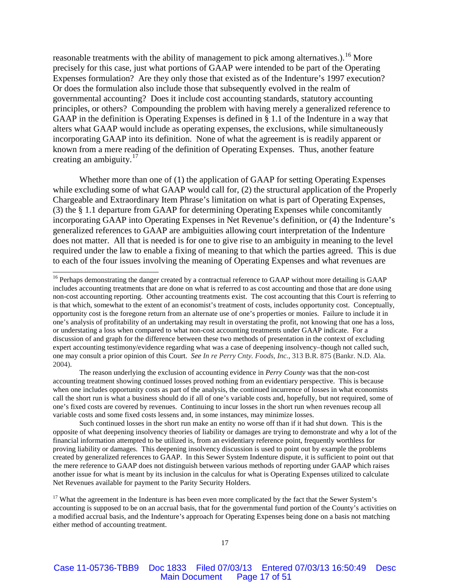reasonable treatments with the ability of management to pick among alternatives.).<sup>[16](#page-16-0)</sup> More precisely for this case, just what portions of GAAP were intended to be part of the Operating Expenses formulation? Are they only those that existed as of the Indenture's 1997 execution? Or does the formulation also include those that subsequently evolved in the realm of governmental accounting? Does it include cost accounting standards, statutory accounting principles, or others? Compounding the problem with having merely a generalized reference to GAAP in the definition is Operating Expenses is defined in § 1.1 of the Indenture in a way that alters what GAAP would include as operating expenses, the exclusions, while simultaneously incorporating GAAP into its definition. None of what the agreement is is readily apparent or known from a mere reading of the definition of Operating Expenses. Thus, another feature creating an ambiguity. $17$ 

Whether more than one of (1) the application of GAAP for setting Operating Expenses while excluding some of what GAAP would call for, (2) the structural application of the Properly Chargeable and Extraordinary Item Phrase's limitation on what is part of Operating Expenses, (3) the § 1.1 departure from GAAP for determining Operating Expenses while concomitantly incorporating GAAP into Operating Expenses in Net Revenue's definition, or (4) the Indenture's generalized references to GAAP are ambiguities allowing court interpretation of the Indenture does not matter. All that is needed is for one to give rise to an ambiguity in meaning to the level required under the law to enable a fixing of meaning to that which the parties agreed. This is due to each of the four issues involving the meaning of Operating Expenses and what revenues are

The reason underlying the exclusion of accounting evidence in *Perry County* was that the non-cost accounting treatment showing continued losses proved nothing from an evidentiary perspective. This is because when one includes opportunity costs as part of the analysis, the continued incurrence of losses in what economists call the short run is what a business should do if all of one's variable costs and, hopefully, but not required, some of one's fixed costs are covered by revenues. Continuing to incur losses in the short run when revenues recoup all variable costs and some fixed costs lessens and, in some instances, may minimize losses.

Such continued losses in the short run make an entity no worse off than if it had shut down. This is the opposite of what deepening insolvency theories of liability or damages are trying to demonstrate and why a lot of the financial information attempted to be utilized is, from an evidentiary reference point, frequently worthless for proving liability or damages. This deepening insolvency discussion is used to point out by example the problems created by generalized references to GAAP. In this Sewer System Indenture dispute, it is sufficient to point out that the mere reference to GAAP does not distinguish between various methods of reporting under GAAP which raises another issue for what is meant by its inclusion in the calculus for what is Operating Expenses utilized to calculate Net Revenues available for payment to the Parity Security Holders.

<span id="page-16-1"></span><sup>17</sup> What the agreement in the Indenture is has been even more complicated by the fact that the Sewer System's accounting is supposed to be on an accrual basis, that for the governmental fund portion of the County's activities on a modified accrual basis, and the Indenture's approach for Operating Expenses being done on a basis not matching either method of accounting treatment.

<span id="page-16-0"></span><sup>&</sup>lt;sup>16</sup> Perhaps demonstrating the danger created by a contractual reference to GAAP without more detailing is GAAP includes accounting treatments that are done on what is referred to as cost accounting and those that are done using non-cost accounting reporting. Other accounting treatments exist. The cost accounting that this Court is referring to is that which, somewhat to the extent of an economist's treatment of costs, includes opportunity cost. Conceptually, opportunity cost is the foregone return from an alternate use of one's properties or monies. Failure to include it in one's analysis of profitability of an undertaking may result in overstating the profit, not knowing that one has a loss, or understating a loss when compared to what non-cost accounting treatments under GAAP indicate. For a discussion of and graph for the difference between these two methods of presentation in the context of excluding expert accounting testimony/evidence regarding what was a case of deepening insolvency–though not called such, one may consult a prior opinion of this Court. *See In re Perry Cnty. Foods, Inc.*, 313 B.R. 875 (Bankr. N.D. Ala. 2004).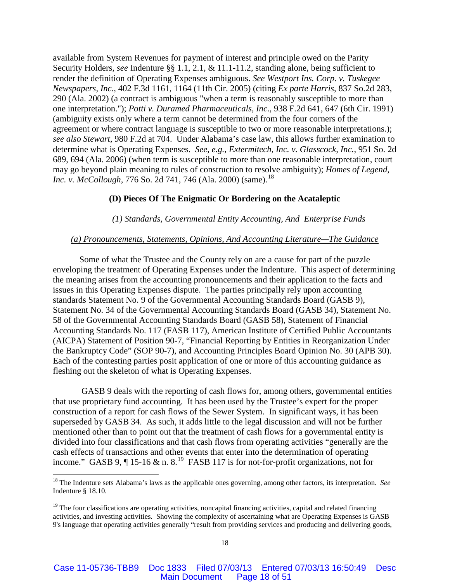available from System Revenues for payment of interest and principle owed on the Parity Security Holders, *see* Indenture §§ 1.1, 2.1, & 11.1-11.2, standing alone, being sufficient to render the definition of Operating Expenses ambiguous. *See Westport Ins. Corp. v. Tuskegee Newspapers, Inc*., 402 F.3d 1161, 1164 (11th Cir. 2005) (citing *Ex parte Harris*, 837 So.2d 283, 290 (Ala. 2002) (a contract is ambiguous "when a term is reasonably susceptible to more than one interpretation."); *Potti v. Duramed Pharmaceuticals, Inc*., 938 F.2d 641, 647 (6th Cir. 1991) (ambiguity exists only where a term cannot be determined from the four corners of the agreement or where contract language is susceptible to two or more reasonable interpretations.); *see also Stewart*, 980 F.2d at 704. Under Alabama's case law, this allows further examination to determine what is Operating Expenses. *See, e.g.*, *Extermitech, Inc. v. Glasscock, Inc.*, 951 So. 2d 689, 694 (Ala. 2006) (when term is susceptible to more than one reasonable interpretation, court may go beyond plain meaning to rules of construction to resolve ambiguity); *Homes of Legend, Inc. v. McCollough*, 776 So. 2d 741, 746 (Ala. 2000) (same).<sup>[18](#page-17-0)</sup>

## **(D) Pieces Of The Enigmatic Or Bordering on the Acataleptic**

## *(1) Standards, Governmental Entity Accounting, And Enterprise Funds*

### *(a) Pronouncements, Statements, Opinions, And Accounting Literature—The Guidance*

Some of what the Trustee and the County rely on are a cause for part of the puzzle enveloping the treatment of Operating Expenses under the Indenture. This aspect of determining the meaning arises from the accounting pronouncements and their application to the facts and issues in this Operating Expenses dispute. The parties principally rely upon accounting standards Statement No. 9 of the Governmental Accounting Standards Board (GASB 9), Statement No. 34 of the Governmental Accounting Standards Board (GASB 34), Statement No. 58 of the Governmental Accounting Standards Board (GASB 58), Statement of Financial Accounting Standards No. 117 (FASB 117), American Institute of Certified Public Accountants (AICPA) Statement of Position 90-7, "Financial Reporting by Entities in Reorganization Under the Bankruptcy Code" (SOP 90-7), and Accounting Principles Board Opinion No. 30 (APB 30). Each of the contesting parties posit application of one or more of this accounting guidance as fleshing out the skeleton of what is Operating Expenses.

GASB 9 deals with the reporting of cash flows for, among others, governmental entities that use proprietary fund accounting. It has been used by the Trustee's expert for the proper construction of a report for cash flows of the Sewer System. In significant ways, it has been superseded by GASB 34. As such, it adds little to the legal discussion and will not be further mentioned other than to point out that the treatment of cash flows for a governmental entity is divided into four classifications and that cash flows from operating activities "generally are the cash effects of transactions and other events that enter into the determination of operating income." GASB 9,  $\P$  15-16 & n. 8.<sup>[19](#page-17-1)</sup> FASB 117 is for not-for-profit organizations, not for

<span id="page-17-0"></span> <sup>18</sup> The Indenture sets Alabama's laws as the applicable ones governing, among other factors, its interpretation. *See* Indenture § 18.10.

<span id="page-17-1"></span> $19$  The four classifications are operating activities, noncapital financing activities, capital and related financing activities, and investing activities. Showing the complexity of ascertaining what are Operating Expenses is GASB 9's language that operating activities generally "result from providing services and producing and delivering goods,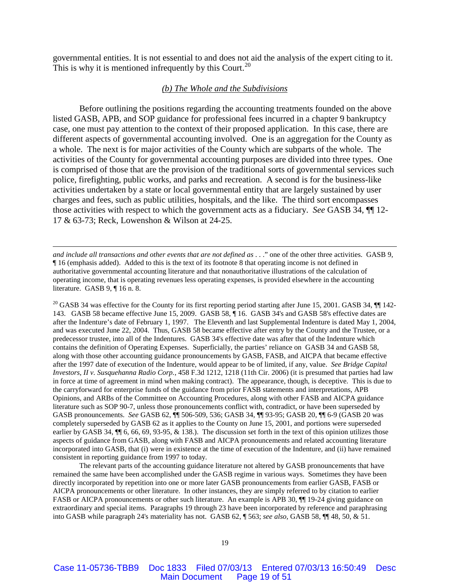governmental entities. It is not essential to and does not aid the analysis of the expert citing to it. This is why it is mentioned infrequently by this Court.<sup>[20](#page-18-0)</sup>

## *(b) The Whole and the Subdivisions*

Before outlining the positions regarding the accounting treatments founded on the above listed GASB, APB, and SOP guidance for professional fees incurred in a chapter 9 bankruptcy case, one must pay attention to the context of their proposed application. In this case, there are different aspects of governmental accounting involved. One is an aggregation for the County as a whole. The next is for major activities of the County which are subparts of the whole. The activities of the County for governmental accounting purposes are divided into three types. One is comprised of those that are the provision of the traditional sorts of governmental services such police, firefighting, public works, and parks and recreation. A second is for the business-like activities undertaken by a state or local governmental entity that are largely sustained by user charges and fees, such as public utilities, hospitals, and the like. The third sort encompasses those activities with respect to which the government acts as a fiduciary. *See* GASB 34, ¶¶ 12- 17 & 63-73; Reck, Lowenshon & Wilson at 24-25.

 $\overline{a}$ 

<span id="page-18-0"></span> $20$  GASB 34 was effective for the County for its first reporting period starting after June 15, 2001. GASB 34,  $\P$  142-143. GASB 58 became effective June 15, 2009. GASB 58, ¶ 16. GASB 34's and GASB 58's effective dates are after the Indenture's date of February 1, 1997. The Eleventh and last Supplemental Indenture is dated May 1, 2004, and was executed June 22, 2004. Thus, GASB 58 became effective after entry by the County and the Trustee, or a predecessor trustee, into all of the Indentures. GASB 34's effective date was after that of the Indenture which contains the definition of Operating Expenses. Superficially, the parties' reliance on GASB 34 and GASB 58, along with those other accounting guidance pronouncements by GASB, FASB, and AICPA that became effective after the 1997 date of execution of the Indenture, would appear to be of limited, if any, value. *See Bridge Capital Investors, II v. Susquehanna Radio Corp.*, 458 F.3d 1212, 1218 (11th Cir. 2006) (it is presumed that parties had law in force at time of agreement in mind when making contract). The appearance, though, is deceptive. This is due to the carryforward for enterprise funds of the guidance from prior FASB statements and interpretations, APB Opinions, and ARBs of the Committee on Accounting Procedures, along with other FASB and AICPA guidance literature such as SOP 90-7, unless those pronouncements conflict with, contradict, or have been superseded by GASB pronouncements. *See* GASB 62, ¶¶ 506-509, 536; GASB 34, ¶¶ 93-95; GASB 20, ¶¶ 6-9 (GASB 20 was completely superseded by GASB 62 as it applies to the County on June 15, 2001, and portions were superseded earlier by GASB 34,  $\P$  6, 66, 69, 93-95, & 138.). The discussion set forth in the text of this opinion utilizes those aspects of guidance from GASB, along with FASB and AICPA pronouncements and related accounting literature incorporated into GASB, that (i) were in existence at the time of execution of the Indenture, and (ii) have remained consistent in reporting guidance from 1997 to today.

The relevant parts of the accounting guidance literature not altered by GASB pronouncements that have remained the same have been accomplished under the GASB regime in various ways. Sometimes they have been directly incorporated by repetition into one or more later GASB pronouncements from earlier GASB, FASB or AICPA pronouncements or other literature. In other instances, they are simply referred to by citation to earlier FASB or AICPA pronouncements or other such literature. An example is APB 30,  $\P$  19-24 giving guidance on extraordinary and special items. Paragraphs 19 through 23 have been incorporated by reference and paraphrasing into GASB while paragraph 24's materiality has not. GASB 62, ¶ 563; *see also,* GASB 58, ¶¶ 48, 50, & 51.

*and include all transactions and other events that are not defined as* . . ." one of the other three activities. GASB 9, ¶ 16 (emphasis added). Added to this is the text of its footnote 8 that operating income is not defined in authoritative governmental accounting literature and that nonauthoritative illustrations of the calculation of operating income, that is operating revenues less operating expenses, is provided elsewhere in the accounting literature. GASB 9, ¶ 16 n. 8.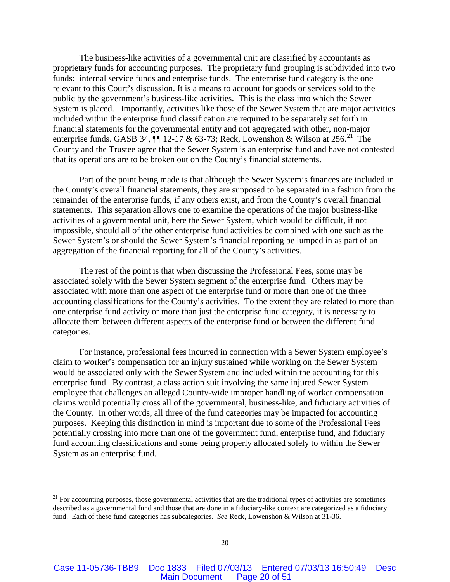The business-like activities of a governmental unit are classified by accountants as proprietary funds for accounting purposes. The proprietary fund grouping is subdivided into two funds: internal service funds and enterprise funds. The enterprise fund category is the one relevant to this Court's discussion. It is a means to account for goods or services sold to the public by the government's business-like activities. This is the class into which the Sewer System is placed. Importantly, activities like those of the Sewer System that are major activities included within the enterprise fund classification are required to be separately set forth in financial statements for the governmental entity and not aggregated with other, non-major enterprise funds. GASB 34,  $\P$  12-17 & 63-73; Reck, Lowenshon & Wilson at 256.<sup>[21](#page-19-0)</sup> The County and the Trustee agree that the Sewer System is an enterprise fund and have not contested that its operations are to be broken out on the County's financial statements.

Part of the point being made is that although the Sewer System's finances are included in the County's overall financial statements, they are supposed to be separated in a fashion from the remainder of the enterprise funds, if any others exist, and from the County's overall financial statements. This separation allows one to examine the operations of the major business-like activities of a governmental unit, here the Sewer System, which would be difficult, if not impossible, should all of the other enterprise fund activities be combined with one such as the Sewer System's or should the Sewer System's financial reporting be lumped in as part of an aggregation of the financial reporting for all of the County's activities.

The rest of the point is that when discussing the Professional Fees, some may be associated solely with the Sewer System segment of the enterprise fund. Others may be associated with more than one aspect of the enterprise fund or more than one of the three accounting classifications for the County's activities. To the extent they are related to more than one enterprise fund activity or more than just the enterprise fund category, it is necessary to allocate them between different aspects of the enterprise fund or between the different fund categories.

For instance, professional fees incurred in connection with a Sewer System employee's claim to worker's compensation for an injury sustained while working on the Sewer System would be associated only with the Sewer System and included within the accounting for this enterprise fund. By contrast, a class action suit involving the same injured Sewer System employee that challenges an alleged County-wide improper handling of worker compensation claims would potentially cross all of the governmental, business-like, and fiduciary activities of the County. In other words, all three of the fund categories may be impacted for accounting purposes. Keeping this distinction in mind is important due to some of the Professional Fees potentially crossing into more than one of the government fund, enterprise fund, and fiduciary fund accounting classifications and some being properly allocated solely to within the Sewer System as an enterprise fund.

<span id="page-19-0"></span> $21$  For accounting purposes, those governmental activities that are the traditional types of activities are sometimes described as a governmental fund and those that are done in a fiduciary-like context are categorized as a fiduciary fund. Each of these fund categories has subcategories.*See* Reck, Lowenshon & Wilson at 31-36.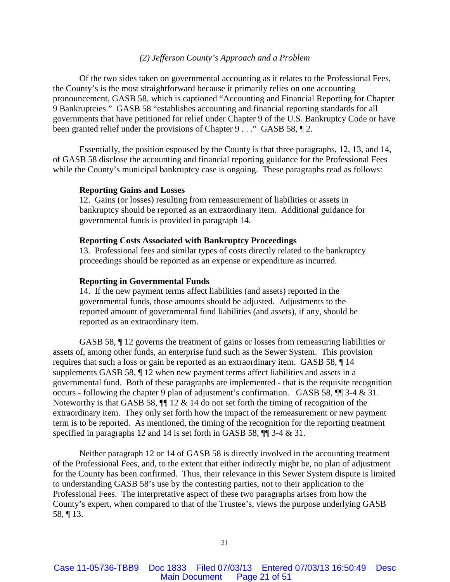### *(2) Jefferson County's Approach and a Problem*

Of the two sides taken on governmental accounting as it relates to the Professional Fees, the County's is the most straightforward because it primarily relies on one accounting pronouncement, GASB 58, which is captioned "Accounting and Financial Reporting for Chapter 9 Bankruptcies." GASB 58 "establishes accounting and financial reporting standards for all governments that have petitioned for relief under Chapter 9 of the U.S. Bankruptcy Code or have been granted relief under the provisions of Chapter 9 . . ." GASB 58,  $\mathbb{I}$  2.

Essentially, the position espoused by the County is that three paragraphs, 12, 13, and 14, of GASB 58 disclose the accounting and financial reporting guidance for the Professional Fees while the County's municipal bankruptcy case is ongoing. These paragraphs read as follows:

## **Reporting Gains and Losses**

12. Gains (or losses) resulting from remeasurement of liabilities or assets in bankruptcy should be reported as an extraordinary item. Additional guidance for governmental funds is provided in paragraph 14.

#### **Reporting Costs Associated with Bankruptcy Proceedings**

13. Professional fees and similar types of costs directly related to the bankruptcy proceedings should be reported as an expense or expenditure as incurred.

#### **Reporting in Governmental Funds**

14. If the new payment terms affect liabilities (and assets) reported in the governmental funds, those amounts should be adjusted. Adjustments to the reported amount of governmental fund liabilities (and assets), if any, should be reported as an extraordinary item.

GASB 58, ¶ 12 governs the treatment of gains or losses from remeasuring liabilities or assets of, among other funds, an enterprise fund such as the Sewer System. This provision requires that such a loss or gain be reported as an extraordinary item. GASB 58, ¶ 14 supplements GASB 58, ¶ 12 when new payment terms affect liabilities and assets in a governmental fund. Both of these paragraphs are implemented - that is the requisite recognition occurs - following the chapter 9 plan of adjustment's confirmation. GASB 58, ¶¶ 3-4 & 31. Noteworthy is that GASB 58,  $\P$  12 & 14 do not set forth the timing of recognition of the extraordinary item. They only set forth how the impact of the remeasurement or new payment term is to be reported. As mentioned, the timing of the recognition for the reporting treatment specified in paragraphs 12 and 14 is set forth in GASB 58,  $\P$  3-4 & 31.

Neither paragraph 12 or 14 of GASB 58 is directly involved in the accounting treatment of the Professional Fees, and, to the extent that either indirectly might be, no plan of adjustment for the County has been confirmed. Thus, their relevance in this Sewer System dispute is limited to understanding GASB 58's use by the contesting parties, not to their application to the Professional Fees. The interpretative aspect of these two paragraphs arises from how the County's expert, when compared to that of the Trustee's, views the purpose underlying GASB 58, ¶ 13.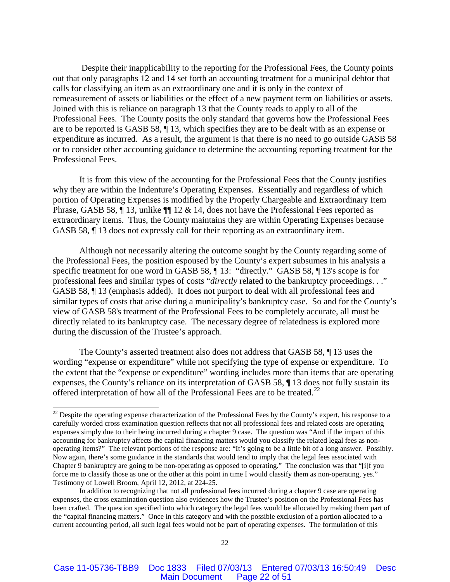Despite their inapplicability to the reporting for the Professional Fees, the County points out that only paragraphs 12 and 14 set forth an accounting treatment for a municipal debtor that calls for classifying an item as an extraordinary one and it is only in the context of remeasurement of assets or liabilities or the effect of a new payment term on liabilities or assets. Joined with this is reliance on paragraph 13 that the County reads to apply to all of the Professional Fees. The County posits the only standard that governs how the Professional Fees are to be reported is GASB 58, ¶ 13, which specifies they are to be dealt with as an expense or expenditure as incurred. As a result, the argument is that there is no need to go outside GASB 58 or to consider other accounting guidance to determine the accounting reporting treatment for the Professional Fees.

It is from this view of the accounting for the Professional Fees that the County justifies why they are within the Indenture's Operating Expenses. Essentially and regardless of which portion of Operating Expenses is modified by the Properly Chargeable and Extraordinary Item Phrase, GASB 58,  $\P$  13, unlike  $\P$  12 & 14, does not have the Professional Fees reported as extraordinary items. Thus, the County maintains they are within Operating Expenses because GASB 58, ¶ 13 does not expressly call for their reporting as an extraordinary item.

Although not necessarily altering the outcome sought by the County regarding some of the Professional Fees, the position espoused by the County's expert subsumes in his analysis a specific treatment for one word in GASB 58,  $\P$  13: "directly." GASB 58,  $\P$  13's scope is for professional fees and similar types of costs "*directly* related to the bankruptcy proceedings. . ." GASB 58, ¶ 13 (emphasis added). It does not purport to deal with all professional fees and similar types of costs that arise during a municipality's bankruptcy case. So and for the County's view of GASB 58's treatment of the Professional Fees to be completely accurate, all must be directly related to its bankruptcy case. The necessary degree of relatedness is explored more during the discussion of the Trustee's approach.

The County's asserted treatment also does not address that GASB 58, ¶ 13 uses the wording "expense or expenditure" while not specifying the type of expense or expenditure. To the extent that the "expense or expenditure" wording includes more than items that are operating expenses, the County's reliance on its interpretation of GASB 58, ¶ 13 does not fully sustain its offered interpretation of how all of the Professional Fees are to be treated.<sup>[22](#page-21-0)</sup>

<span id="page-21-0"></span> $22$  Despite the operating expense characterization of the Professional Fees by the County's expert, his response to a carefully worded cross examination question reflects that not all professional fees and related costs are operating expenses simply due to their being incurred during a chapter 9 case. The question was "And if the impact of this accounting for bankruptcy affects the capital financing matters would you classify the related legal fees as nonoperating items?" The relevant portions of the response are: "It's going to be a little bit of a long answer. Possibly. Now again, there's some guidance in the standards that would tend to imply that the legal fees associated with Chapter 9 bankruptcy are going to be non-operating as opposed to operating." The conclusion was that "[i]f you force me to classify those as one or the other at this point in time I would classify them as non-operating, yes." Testimony of Lowell Broom, April 12, 2012, at 224-25.

In addition to recognizing that not all professional fees incurred during a chapter 9 case are operating expenses, the cross examination question also evidences how the Trustee's position on the Professional Fees has been crafted. The question specified into which category the legal fees would be allocated by making them part of the "capital financing matters." Once in this category and with the possible exclusion of a portion allocated to a current accounting period, all such legal fees would not be part of operating expenses. The formulation of this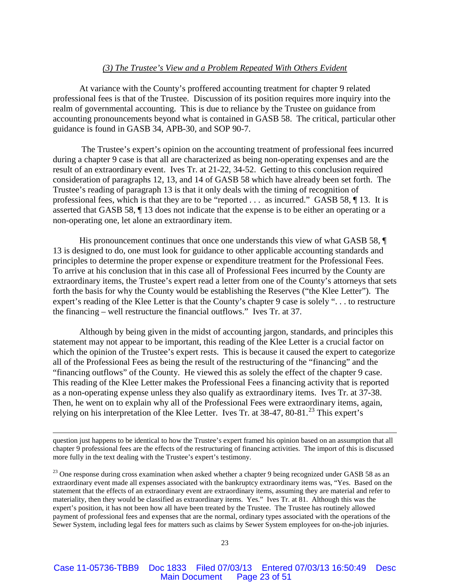## *(3) The Trustee's View and a Problem Repeated With Others Evident*

At variance with the County's proffered accounting treatment for chapter 9 related professional fees is that of the Trustee. Discussion of its position requires more inquiry into the realm of governmental accounting. This is due to reliance by the Trustee on guidance from accounting pronouncements beyond what is contained in GASB 58. The critical, particular other guidance is found in GASB 34, APB-30, and SOP 90-7.

The Trustee's expert's opinion on the accounting treatment of professional fees incurred during a chapter 9 case is that all are characterized as being non-operating expenses and are the result of an extraordinary event. Ives Tr. at 21-22, 34-52. Getting to this conclusion required consideration of paragraphs 12, 13, and 14 of GASB 58 which have already been set forth. The Trustee's reading of paragraph 13 is that it only deals with the timing of recognition of professional fees, which is that they are to be "reported . . . as incurred." GASB 58, ¶ 13. It is asserted that GASB 58, ¶ 13 does not indicate that the expense is to be either an operating or a non-operating one, let alone an extraordinary item.

His pronouncement continues that once one understands this view of what GASB 58, ¶ 13 is designed to do, one must look for guidance to other applicable accounting standards and principles to determine the proper expense or expenditure treatment for the Professional Fees. To arrive at his conclusion that in this case all of Professional Fees incurred by the County are extraordinary items, the Trustee's expert read a letter from one of the County's attorneys that sets forth the basis for why the County would be establishing the Reserves ("the Klee Letter"). The expert's reading of the Klee Letter is that the County's chapter 9 case is solely ". . . to restructure the financing – well restructure the financial outflows." Ives Tr. at 37.

Although by being given in the midst of accounting jargon, standards, and principles this statement may not appear to be important, this reading of the Klee Letter is a crucial factor on which the opinion of the Trustee's expert rests. This is because it caused the expert to categorize all of the Professional Fees as being the result of the restructuring of the "financing" and the "financing outflows" of the County. He viewed this as solely the effect of the chapter 9 case. This reading of the Klee Letter makes the Professional Fees a financing activity that is reported as a non-operating expense unless they also qualify as extraordinary items. Ives Tr. at 37-38. Then, he went on to explain why all of the Professional Fees were extraordinary items, again, relying on his interpretation of the Klee Letter. Ives Tr. at 38-47, 80-81.<sup>[23](#page-22-0)</sup> This expert's

question just happens to be identical to how the Trustee's expert framed his opinion based on an assumption that all chapter 9 professional fees are the effects of the restructuring of financing activities. The import of this is discussed more fully in the text dealing with the Trustee's expert's testimony.

 $\overline{a}$ 

<span id="page-22-0"></span><sup>23</sup> One response during cross examination when asked whether a chapter 9 being recognized under GASB 58 as an extraordinary event made all expenses associated with the bankruptcy extraordinary items was, "Yes. Based on the statement that the effects of an extraordinary event are extraordinary items, assuming they are material and refer to materiality, then they would be classified as extraordinary items. Yes." Ives Tr. at 81. Although this was the expert's position, it has not been how all have been treated by the Trustee. The Trustee has routinely allowed payment of professional fees and expenses that are the normal, ordinary types associated with the operations of the Sewer System, including legal fees for matters such as claims by Sewer System employees for on-the-job injuries.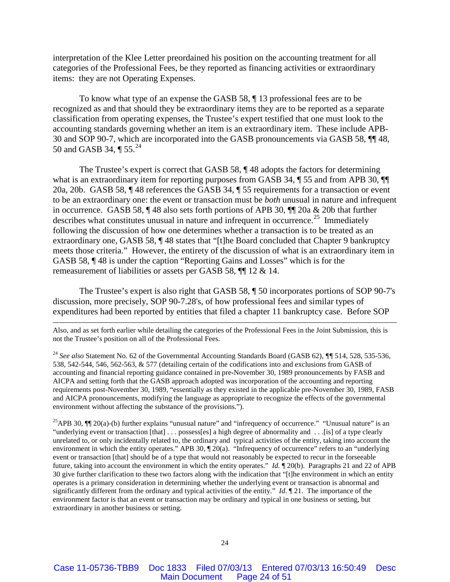interpretation of the Klee Letter preordained his position on the accounting treatment for all categories of the Professional Fees, be they reported as financing activities or extraordinary items: they are not Operating Expenses.

To know what type of an expense the GASB 58, ¶ 13 professional fees are to be recognized as and that should they be extraordinary items they are to be reported as a separate classification from operating expenses, the Trustee's expert testified that one must look to the accounting standards governing whether an item is an extraordinary item. These include APB-30 and SOP 90-7, which are incorporated into the GASB pronouncements via GASB 58, ¶¶ 48, 50 and GASB 34,  $\P$  55.<sup>[24](#page-23-0)</sup>

The Trustee's expert is correct that GASB 58,  $\P$  48 adopts the factors for determining what is an extraordinary item for reporting purposes from GASB 34,  $\P$  55 and from APB 30,  $\P$ 20a, 20b. GASB 58, ¶ 48 references the GASB 34, ¶ 55 requirements for a transaction or event to be an extraordinary one: the event or transaction must be *both* unusual in nature and infrequent in occurrence. GASB 58, ¶ 48 also sets forth portions of APB 30, ¶¶ 20a & 20b that further describes what constitutes unusual in nature and infrequent in occurrence.<sup>[25](#page-23-1)</sup> Immediately following the discussion of how one determines whether a transaction is to be treated as an extraordinary one, GASB 58, ¶ 48 states that "[t]he Board concluded that Chapter 9 bankruptcy meets those criteria." However, the entirety of the discussion of what is an extraordinary item in GASB 58, ¶ 48 is under the caption "Reporting Gains and Losses" which is for the remeasurement of liabilities or assets per GASB 58, ¶¶ 12 & 14.

The Trustee's expert is also right that GASB 58, ¶ 50 incorporates portions of SOP 90-7's discussion, more precisely, SOP 90-7.28's, of how professional fees and similar types of expenditures had been reported by entities that filed a chapter 11 bankruptcy case. Before SOP

Also, and as set forth earlier while detailing the categories of the Professional Fees in the Joint Submission, this is not the Trustee's position on all of the Professional Fees.

 $\overline{a}$ 

<span id="page-23-0"></span><sup>24</sup> *See also* Statement No. 62 of the Governmental Accounting Standards Board (GASB 62), *¶¶* 514, 528, 535-536, 538, 542-544, 546, 562-563, & 577 (detailing certain of the codifications into and exclusions from GASB of accounting and financial reporting guidance contained in pre-November 30, 1989 pronouncements by FASB and AICPA and setting forth that the GASB approach adopted was incorporation of the accounting and reporting requirements post-November 30, 1989, "essentially as they existed in the applicable pre-November 30, 1989, FASB and AICPA pronouncements, modifying the language as appropriate to recognize the effects of the governmental environment without affecting the substance of the provisions.").

<span id="page-23-1"></span><sup>25</sup>APB 30,  $\P$  20(a)-(b) further explains "unusual nature" and "infrequency of occurrence." "Unusual nature" is an "underlying event or transaction [that] . . . possess[es] a high degree of abnormality and . . .[is] of a type clearly unrelated to, or only incidentally related to, the ordinary and typical activities of the entity, taking into account the environment in which the entity operates." APB 30,  $\P$  20(a). "Infrequency of occurrence" refers to an "underlying event or transaction [that] should be of a type that would not reasonably be expected to recur in the forseeable future, taking into account the environment in which the entity operates." *Id.* ¶ 20(b). Paragraphs 21 and 22 of APB 30 give further clarification to these two factors along with the indication that "[t]he environment in which an entity operates is a primary consideration in determining whether the underlying event or transaction is abnormal and significantly different from the ordinary and typical activities of the entity." *Id*. ¶ 21. The importance of the environment factor is that an event or transaction may be ordinary and typical in one business or setting, but extraordinary in another business or setting.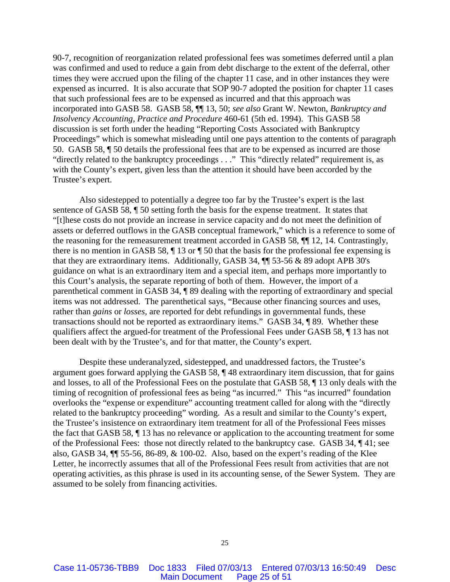90-7, recognition of reorganization related professional fees was sometimes deferred until a plan was confirmed and used to reduce a gain from debt discharge to the extent of the deferral, other times they were accrued upon the filing of the chapter 11 case, and in other instances they were expensed as incurred. It is also accurate that SOP 90-7 adopted the position for chapter 11 cases that such professional fees are to be expensed as incurred and that this approach was incorporated into GASB 58. GASB 58, ¶¶ 13, 50; *see also* Grant W. Newton, *Bankruptcy and Insolvency Accounting, Practice and Procedure* 460-61 (5th ed. 1994). This GASB 58 discussion is set forth under the heading "Reporting Costs Associated with Bankruptcy Proceedings" which is somewhat misleading until one pays attention to the contents of paragraph 50. GASB 58, ¶ 50 details the professional fees that are to be expensed as incurred are those "directly related to the bankruptcy proceedings . . ." This "directly related" requirement is, as with the County's expert, given less than the attention it should have been accorded by the Trustee's expert.

Also sidestepped to potentially a degree too far by the Trustee's expert is the last sentence of GASB 58, ¶ 50 setting forth the basis for the expense treatment. It states that "[t]hese costs do not provide an increase in service capacity and do not meet the definition of assets or deferred outflows in the GASB conceptual framework," which is a reference to some of the reasoning for the remeasurement treatment accorded in GASB 58, ¶¶ 12, 14. Contrastingly, there is no mention in GASB 58, ¶ 13 or ¶ 50 that the basis for the professional fee expensing is that they are extraordinary items. Additionally, GASB 34, ¶¶ 53-56 & 89 adopt APB 30's guidance on what is an extraordinary item and a special item, and perhaps more importantly to this Court's analysis, the separate reporting of both of them. However, the import of a parenthetical comment in GASB 34, ¶ 89 dealing with the reporting of extraordinary and special items was not addressed. The parenthetical says, "Because other financing sources and uses, rather than *gains* or *losses,* are reported for debt refundings in governmental funds, these transactions should not be reported as extraordinary items." GASB 34, ¶ 89. Whether these qualifiers affect the argued-for treatment of the Professional Fees under GASB 58, ¶ 13 has not been dealt with by the Trustee's, and for that matter, the County's expert.

Despite these underanalyzed, sidestepped, and unaddressed factors, the Trustee's argument goes forward applying the GASB 58, ¶ 48 extraordinary item discussion, that for gains and losses, to all of the Professional Fees on the postulate that GASB 58, ¶ 13 only deals with the timing of recognition of professional fees as being "as incurred." This "as incurred" foundation overlooks the "expense or expenditure" accounting treatment called for along with the "directly related to the bankruptcy proceeding" wording. As a result and similar to the County's expert, the Trustee's insistence on extraordinary item treatment for all of the Professional Fees misses the fact that GASB 58, ¶ 13 has no relevance or application to the accounting treatment for some of the Professional Fees: those not directly related to the bankruptcy case. GASB 34, ¶ 41; see also, GASB 34, ¶¶ 55-56, 86-89, & 100-02. Also, based on the expert's reading of the Klee Letter, he incorrectly assumes that all of the Professional Fees result from activities that are not operating activities, as this phrase is used in its accounting sense, of the Sewer System. They are assumed to be solely from financing activities.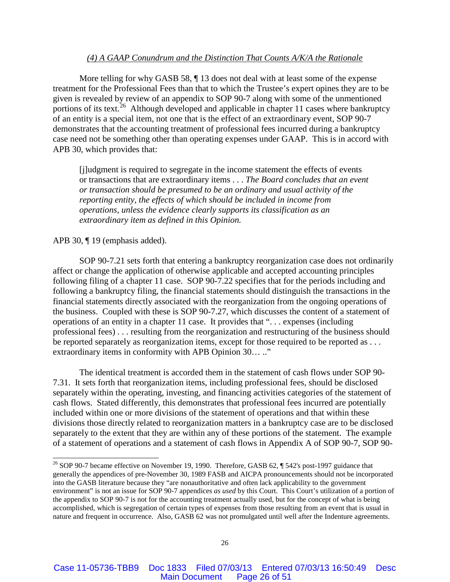## *(4) A GAAP Conundrum and the Distinction That Counts A/K/A the Rationale*

More telling for why GASB 58,  $\P$  13 does not deal with at least some of the expense treatment for the Professional Fees than that to which the Trustee's expert opines they are to be given is revealed by review of an appendix to SOP 90-7 along with some of the unmentioned portions of its text.<sup>[26](#page-25-0)</sup> Although developed and applicable in chapter 11 cases where bankruptcy of an entity is a special item, not one that is the effect of an extraordinary event, SOP 90-7 demonstrates that the accounting treatment of professional fees incurred during a bankruptcy case need not be something other than operating expenses under GAAP. This is in accord with APB 30, which provides that:

[j]udgment is required to segregate in the income statement the effects of events or transactions that are extraordinary items . . . *The Board concludes that an event or transaction should be presumed to be an ordinary and usual activity of the reporting entity, the effects of which should be included in income from operations, unless the evidence clearly supports its classification as an extraordinary item as defined in this Opinion.*

#### APB 30, ¶ 19 (emphasis added).

SOP 90-7.21 sets forth that entering a bankruptcy reorganization case does not ordinarily affect or change the application of otherwise applicable and accepted accounting principles following filing of a chapter 11 case. SOP 90-7.22 specifies that for the periods including and following a bankruptcy filing, the financial statements should distinguish the transactions in the financial statements directly associated with the reorganization from the ongoing operations of the business. Coupled with these is SOP 90-7.27, which discusses the content of a statement of operations of an entity in a chapter 11 case. It provides that ". . . expenses (including professional fees) . . . resulting from the reorganization and restructuring of the business should be reported separately as reorganization items, except for those required to be reported as ... extraordinary items in conformity with APB Opinion 30… .."

The identical treatment is accorded them in the statement of cash flows under SOP 90- 7.31. It sets forth that reorganization items, including professional fees, should be disclosed separately within the operating, investing, and financing activities categories of the statement of cash flows. Stated differently, this demonstrates that professional fees incurred are potentially included within one or more divisions of the statement of operations and that within these divisions those directly related to reorganization matters in a bankruptcy case are to be disclosed separately to the extent that they are within any of these portions of the statement. The example of a statement of operations and a statement of cash flows in Appendix A of SOP 90-7, SOP 90-

<span id="page-25-0"></span><sup>&</sup>lt;sup>26</sup> SOP 90-7 became effective on November 19, 1990. Therefore, GASB 62, ¶ 542's post-1997 guidance that generally the appendices of pre-November 30, 1989 FASB and AICPA pronouncements should not be incorporated into the GASB literature because they "are nonauthoritative and often lack applicability to the government environment" is not an issue for SOP 90-7 appendices *as used* by this Court. This Court's utilization of a portion of the appendix to SOP 90-7 is not for the accounting treatment actually used, but for the concept of what is being accomplished, which is segregation of certain types of expenses from those resulting from an event that is usual in nature and frequent in occurrence. Also, GASB 62 was not promulgated until well after the Indenture agreements.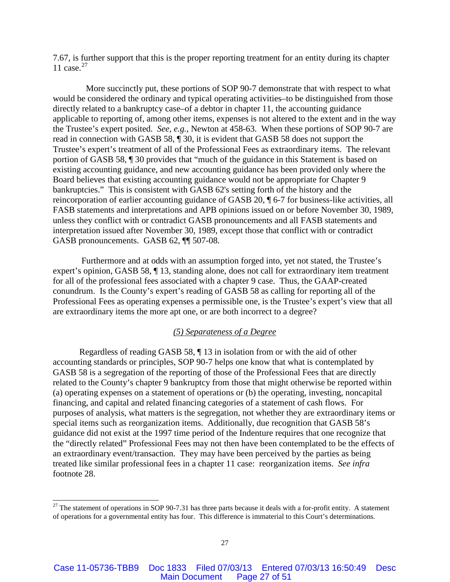7.67, is further support that this is the proper reporting treatment for an entity during its chapter 11 case. $27$ 

 More succinctly put, these portions of SOP 90-7 demonstrate that with respect to what would be considered the ordinary and typical operating activities–to be distinguished from those directly related to a bankruptcy case–of a debtor in chapter 11, the accounting guidance applicable to reporting of, among other items, expenses is not altered to the extent and in the way the Trustee's expert posited. *See, e.g.*, Newton at 458-63. When these portions of SOP 90-7 are read in connection with GASB 58, ¶ 30, it is evident that GASB 58 does not support the Trustee's expert's treatment of all of the Professional Fees as extraordinary items. The relevant portion of GASB 58, ¶ 30 provides that "much of the guidance in this Statement is based on existing accounting guidance, and new accounting guidance has been provided only where the Board believes that existing accounting guidance would not be appropriate for Chapter 9 bankruptcies." This is consistent with GASB 62's setting forth of the history and the reincorporation of earlier accounting guidance of GASB 20, ¶ 6-7 for business-like activities, all FASB statements and interpretations and APB opinions issued on or before November 30, 1989, unless they conflict with or contradict GASB pronouncements and all FASB statements and interpretation issued after November 30, 1989, except those that conflict with or contradict GASB pronouncements. GASB 62, ¶¶ 507-08.

Furthermore and at odds with an assumption forged into, yet not stated, the Trustee's expert's opinion, GASB 58, ¶ 13, standing alone, does not call for extraordinary item treatment for all of the professional fees associated with a chapter 9 case. Thus, the GAAP-created conundrum. Is the County's expert's reading of GASB 58 as calling for reporting all of the Professional Fees as operating expenses a permissible one, is the Trustee's expert's view that all are extraordinary items the more apt one, or are both incorrect to a degree?

## *(5) Separateness of a Degree*

Regardless of reading GASB 58, ¶ 13 in isolation from or with the aid of other accounting standards or principles, SOP 90-7 helps one know that what is contemplated by GASB 58 is a segregation of the reporting of those of the Professional Fees that are directly related to the County's chapter 9 bankruptcy from those that might otherwise be reported within (a) operating expenses on a statement of operations or (b) the operating, investing, noncapital financing, and capital and related financing categories of a statement of cash flows. For purposes of analysis, what matters is the segregation, not whether they are extraordinary items or special items such as reorganization items. Additionally, due recognition that GASB 58's guidance did not exist at the 1997 time period of the Indenture requires that one recognize that the "directly related" Professional Fees may not then have been contemplated to be the effects of an extraordinary event/transaction. They may have been perceived by the parties as being treated like similar professional fees in a chapter 11 case: reorganization items. *See infra*  footnote 28.

<span id="page-26-0"></span> $27$  The statement of operations in SOP 90-7.31 has three parts because it deals with a for-profit entity. A statement of operations for a governmental entity has four. This difference is immaterial to this Court's determinations.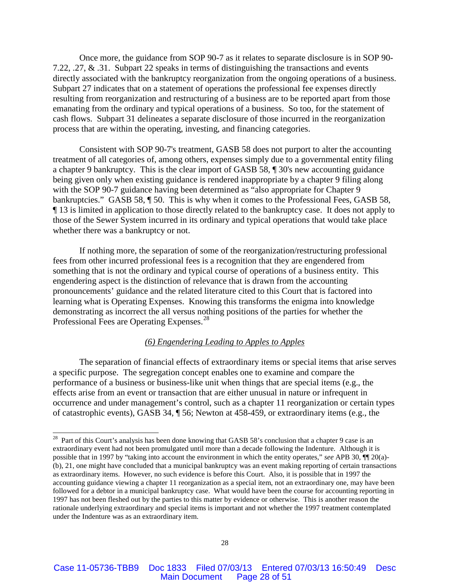Once more, the guidance from SOP 90-7 as it relates to separate disclosure is in SOP 90- 7.22, .27, & .31. Subpart 22 speaks in terms of distinguishing the transactions and events directly associated with the bankruptcy reorganization from the ongoing operations of a business. Subpart 27 indicates that on a statement of operations the professional fee expenses directly resulting from reorganization and restructuring of a business are to be reported apart from those emanating from the ordinary and typical operations of a business. So too, for the statement of cash flows. Subpart 31 delineates a separate disclosure of those incurred in the reorganization process that are within the operating, investing, and financing categories.

Consistent with SOP 90-7's treatment, GASB 58 does not purport to alter the accounting treatment of all categories of, among others, expenses simply due to a governmental entity filing a chapter 9 bankruptcy. This is the clear import of GASB 58, ¶ 30's new accounting guidance being given only when existing guidance is rendered inappropriate by a chapter 9 filing along with the SOP 90-7 guidance having been determined as "also appropriate for Chapter 9 bankruptcies." GASB 58,  $\P$  50. This is why when it comes to the Professional Fees, GASB 58, ¶ 13 is limited in application to those directly related to the bankruptcy case. It does not apply to those of the Sewer System incurred in its ordinary and typical operations that would take place whether there was a bankruptcy or not.

If nothing more, the separation of some of the reorganization/restructuring professional fees from other incurred professional fees is a recognition that they are engendered from something that is not the ordinary and typical course of operations of a business entity. This engendering aspect is the distinction of relevance that is drawn from the accounting pronouncements' guidance and the related literature cited to this Court that is factored into learning what is Operating Expenses. Knowing this transforms the enigma into knowledge demonstrating as incorrect the all versus nothing positions of the parties for whether the Professional Fees are Operating Expenses.<sup>[28](#page-27-0)</sup>

## *(6) Engendering Leading to Apples to Apples*

The separation of financial effects of extraordinary items or special items that arise serves a specific purpose. The segregation concept enables one to examine and compare the performance of a business or business-like unit when things that are special items (e.g., the effects arise from an event or transaction that are either unusual in nature or infrequent in occurrence and under management's control, such as a chapter 11 reorganization or certain types of catastrophic events), GASB 34, ¶ 56; Newton at 458-459, or extraordinary items (e.g., the

<span id="page-27-0"></span><sup>&</sup>lt;sup>28</sup> Part of this Court's analysis has been done knowing that GASB 58's conclusion that a chapter 9 case is an extraordinary event had not been promulgated until more than a decade following the Indenture. Although it is possible that in 1997 by "taking into account the environment in which the entity operates," *see* APB 30, ¶¶ 20(a)- (b), 21, one might have concluded that a municipal bankruptcy was an event making reporting of certain transactions as extraordinary items. However, no such evidence is before this Court. Also, it is possible that in 1997 the accounting guidance viewing a chapter 11 reorganization as a special item, not an extraordinary one, may have been followed for a debtor in a municipal bankruptcy case. What would have been the course for accounting reporting in 1997 has not been fleshed out by the parties to this matter by evidence or otherwise. This is another reason the rationale underlying extraordinary and special items is important and not whether the 1997 treatment contemplated under the Indenture was as an extraordinary item.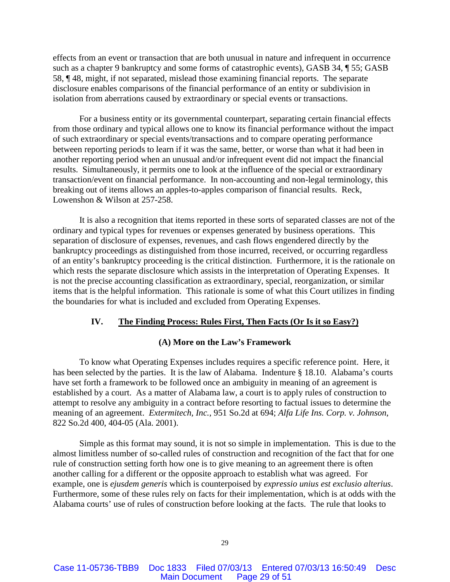effects from an event or transaction that are both unusual in nature and infrequent in occurrence such as a chapter 9 bankruptcy and some forms of catastrophic events), GASB 34, ¶ 55; GASB 58, ¶ 48, might, if not separated, mislead those examining financial reports. The separate disclosure enables comparisons of the financial performance of an entity or subdivision in isolation from aberrations caused by extraordinary or special events or transactions.

For a business entity or its governmental counterpart, separating certain financial effects from those ordinary and typical allows one to know its financial performance without the impact of such extraordinary or special events/transactions and to compare operating performance between reporting periods to learn if it was the same, better, or worse than what it had been in another reporting period when an unusual and/or infrequent event did not impact the financial results. Simultaneously, it permits one to look at the influence of the special or extraordinary transaction/event on financial performance. In non-accounting and non-legal terminology, this breaking out of items allows an apples-to-apples comparison of financial results. Reck, Lowenshon & Wilson at 257-258.

It is also a recognition that items reported in these sorts of separated classes are not of the ordinary and typical types for revenues or expenses generated by business operations. This separation of disclosure of expenses, revenues, and cash flows engendered directly by the bankruptcy proceedings as distinguished from those incurred, received, or occurring regardless of an entity's bankruptcy proceeding is the critical distinction. Furthermore, it is the rationale on which rests the separate disclosure which assists in the interpretation of Operating Expenses. It is not the precise accounting classification as extraordinary, special, reorganization, or similar items that is the helpful information. This rationale is some of what this Court utilizes in finding the boundaries for what is included and excluded from Operating Expenses.

### **IV. The Finding Process: Rules First, Then Facts (Or Is it so Easy?)**

## **(A) More on the Law's Framework**

To know what Operating Expenses includes requires a specific reference point. Here, it has been selected by the parties. It is the law of Alabama. Indenture § 18.10. Alabama's courts have set forth a framework to be followed once an ambiguity in meaning of an agreement is established by a court. As a matter of Alabama law, a court is to apply rules of construction to attempt to resolve any ambiguity in a contract before resorting to factual issues to determine the meaning of an agreement. *Extermitech, Inc.*, 951 So.2d at 694; *Alfa Life Ins. Corp. v. Johnson*, 822 So.2d 400, 404-05 (Ala. 2001).

Simple as this format may sound, it is not so simple in implementation. This is due to the almost limitless number of so-called rules of construction and recognition of the fact that for one rule of construction setting forth how one is to give meaning to an agreement there is often another calling for a different or the opposite approach to establish what was agreed. For example, one is *ejusdem generis* which is counterpoised by *expressio unius est exclusio alterius*. Furthermore, some of these rules rely on facts for their implementation, which is at odds with the Alabama courts' use of rules of construction before looking at the facts. The rule that looks to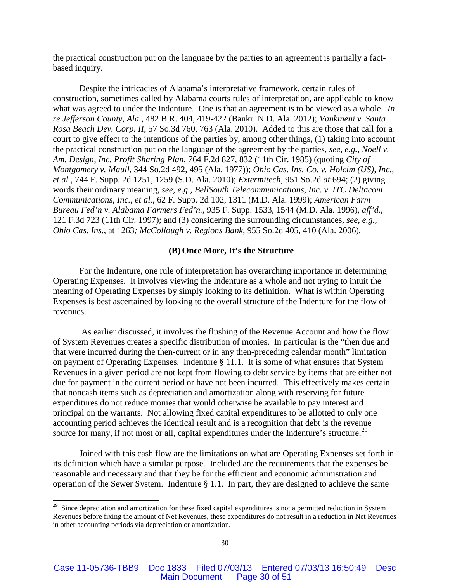the practical construction put on the language by the parties to an agreement is partially a factbased inquiry.

Despite the intricacies of Alabama's interpretative framework, certain rules of construction, sometimes called by Alabama courts rules of interpretation, are applicable to know what was agreed to under the Indenture. One is that an agreement is to be viewed as a whole. *In re Jefferson County, Ala.*, 482 B.R. 404, 419-422 (Bankr. N.D. Ala. 2012); *Vankineni v. Santa Rosa Beach Dev. Corp. II*, 57 So.3d 760, 763 (Ala. 2010). Added to this are those that call for a court to give effect to the intentions of the parties by, among other things, (1) taking into account the practical construction put on the language of the agreement by the parties, *see, e.g., Noell v. Am. Design, Inc. Profit Sharing Plan,* 764 F.2d 827, 832 (11th Cir. 1985) (quoting *City of Montgomery v. Maull,* 344 So.2d 492, 495 (Ala. 1977)); *Ohio Cas. Ins. Co. v. Holcim (US), Inc., et al.*, 744 F. Supp. 2d 1251, 1259 (S.D. Ala. 2010); *Extermitech,* 951 So.2d *at* 694; (2) giving words their ordinary meaning, *see, e.g., BellSouth Telecommunications, Inc. v. ITC Deltacom Communications, Inc., et al.,* 62 F. Supp. 2d 102, 1311 (M.D. Ala. 1999); *American Farm Bureau Fed'n v. Alabama Farmers Fed'n.*, 935 F. Supp. 1533, 1544 (M.D. Ala. 1996), *aff'd.*, 121 F.3d 723 (11th Cir. 1997); and (3) considering the surrounding circumstances, *see, e.g., Ohio Cas. Ins.,* at 1263*; McCollough v. Regions Bank*, 955 So.2d 405, 410 (Ala. 2006)*.*

## **(B) Once More, It's the Structure**

For the Indenture, one rule of interpretation has overarching importance in determining Operating Expenses. It involves viewing the Indenture as a whole and not trying to intuit the meaning of Operating Expenses by simply looking to its definition. What is within Operating Expenses is best ascertained by looking to the overall structure of the Indenture for the flow of revenues.

As earlier discussed, it involves the flushing of the Revenue Account and how the flow of System Revenues creates a specific distribution of monies. In particular is the "then due and that were incurred during the then-current or in any then-preceding calendar month" limitation on payment of Operating Expenses. Indenture § 11.1. It is some of what ensures that System Revenues in a given period are not kept from flowing to debt service by items that are either not due for payment in the current period or have not been incurred. This effectively makes certain that noncash items such as depreciation and amortization along with reserving for future expenditures do not reduce monies that would otherwise be available to pay interest and principal on the warrants. Not allowing fixed capital expenditures to be allotted to only one accounting period achieves the identical result and is a recognition that debt is the revenue source for many, if not most or all, capital expenditures under the Indenture's structure.<sup>[29](#page-29-0)</sup>

Joined with this cash flow are the limitations on what are Operating Expenses set forth in its definition which have a similar purpose. Included are the requirements that the expenses be reasonable and necessary and that they be for the efficient and economic administration and operation of the Sewer System. Indenture § 1.1. In part, they are designed to achieve the same

<span id="page-29-0"></span> $29$  Since depreciation and amortization for these fixed capital expenditures is not a permitted reduction in System Revenues before fixing the amount of Net Revenues, these expenditures do not result in a reduction in Net Revenues in other accounting periods via depreciation or amortization.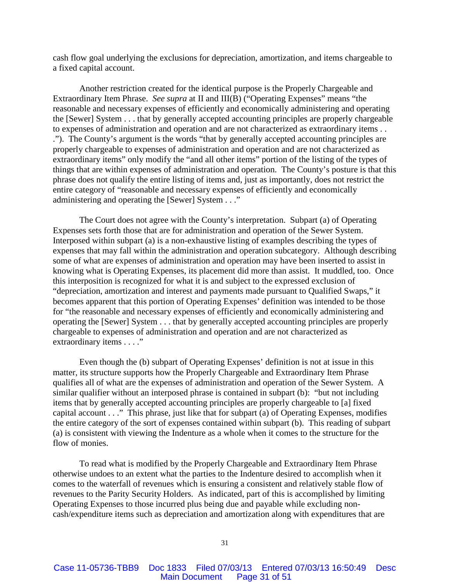cash flow goal underlying the exclusions for depreciation, amortization, and items chargeable to a fixed capital account.

Another restriction created for the identical purpose is the Properly Chargeable and Extraordinary Item Phrase. *See supra* at II and III(B) ("Operating Expenses" means "the reasonable and necessary expenses of efficiently and economically administering and operating the [Sewer] System . . . that by generally accepted accounting principles are properly chargeable to expenses of administration and operation and are not characterized as extraordinary items . . ."). The County's argument is the words "that by generally accepted accounting principles are properly chargeable to expenses of administration and operation and are not characterized as extraordinary items" only modify the "and all other items" portion of the listing of the types of things that are within expenses of administration and operation. The County's posture is that this phrase does not qualify the entire listing of items and, just as importantly, does not restrict the entire category of "reasonable and necessary expenses of efficiently and economically administering and operating the [Sewer] System . . ."

The Court does not agree with the County's interpretation. Subpart (a) of Operating Expenses sets forth those that are for administration and operation of the Sewer System. Interposed within subpart (a) is a non-exhaustive listing of examples describing the types of expenses that may fall within the administration and operation subcategory. Although describing some of what are expenses of administration and operation may have been inserted to assist in knowing what is Operating Expenses, its placement did more than assist. It muddled, too. Once this interposition is recognized for what it is and subject to the expressed exclusion of "depreciation, amortization and interest and payments made pursuant to Qualified Swaps," it becomes apparent that this portion of Operating Expenses' definition was intended to be those for "the reasonable and necessary expenses of efficiently and economically administering and operating the [Sewer] System . . . that by generally accepted accounting principles are properly chargeable to expenses of administration and operation and are not characterized as extraordinary items . . . ."

Even though the (b) subpart of Operating Expenses' definition is not at issue in this matter, its structure supports how the Properly Chargeable and Extraordinary Item Phrase qualifies all of what are the expenses of administration and operation of the Sewer System. A similar qualifier without an interposed phrase is contained in subpart (b): "but not including items that by generally accepted accounting principles are properly chargeable to [a] fixed capital account . . ." This phrase, just like that for subpart (a) of Operating Expenses, modifies the entire category of the sort of expenses contained within subpart (b). This reading of subpart (a) is consistent with viewing the Indenture as a whole when it comes to the structure for the flow of monies.

To read what is modified by the Properly Chargeable and Extraordinary Item Phrase otherwise undoes to an extent what the parties to the Indenture desired to accomplish when it comes to the waterfall of revenues which is ensuring a consistent and relatively stable flow of revenues to the Parity Security Holders. As indicated, part of this is accomplished by limiting Operating Expenses to those incurred plus being due and payable while excluding noncash/expenditure items such as depreciation and amortization along with expenditures that are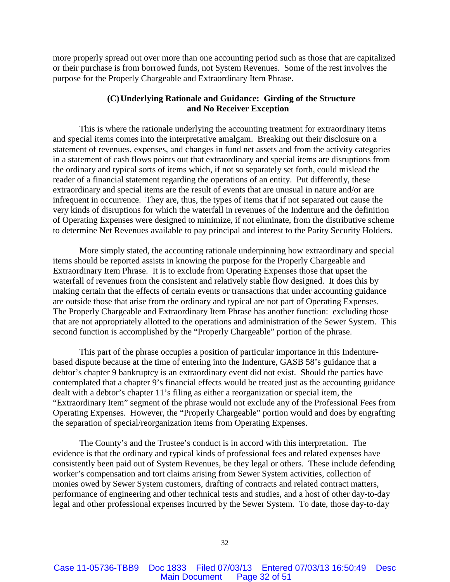more properly spread out over more than one accounting period such as those that are capitalized or their purchase is from borrowed funds, not System Revenues. Some of the rest involves the purpose for the Properly Chargeable and Extraordinary Item Phrase.

# **(C)Underlying Rationale and Guidance: Girding of the Structure and No Receiver Exception**

This is where the rationale underlying the accounting treatment for extraordinary items and special items comes into the interpretative amalgam. Breaking out their disclosure on a statement of revenues, expenses, and changes in fund net assets and from the activity categories in a statement of cash flows points out that extraordinary and special items are disruptions from the ordinary and typical sorts of items which, if not so separately set forth, could mislead the reader of a financial statement regarding the operations of an entity. Put differently, these extraordinary and special items are the result of events that are unusual in nature and/or are infrequent in occurrence. They are, thus, the types of items that if not separated out cause the very kinds of disruptions for which the waterfall in revenues of the Indenture and the definition of Operating Expenses were designed to minimize, if not eliminate, from the distributive scheme to determine Net Revenues available to pay principal and interest to the Parity Security Holders.

More simply stated, the accounting rationale underpinning how extraordinary and special items should be reported assists in knowing the purpose for the Properly Chargeable and Extraordinary Item Phrase. It is to exclude from Operating Expenses those that upset the waterfall of revenues from the consistent and relatively stable flow designed. It does this by making certain that the effects of certain events or transactions that under accounting guidance are outside those that arise from the ordinary and typical are not part of Operating Expenses. The Properly Chargeable and Extraordinary Item Phrase has another function: excluding those that are not appropriately allotted to the operations and administration of the Sewer System. This second function is accomplished by the "Properly Chargeable" portion of the phrase.

This part of the phrase occupies a position of particular importance in this Indenturebased dispute because at the time of entering into the Indenture, GASB 58's guidance that a debtor's chapter 9 bankruptcy is an extraordinary event did not exist. Should the parties have contemplated that a chapter 9's financial effects would be treated just as the accounting guidance dealt with a debtor's chapter 11's filing as either a reorganization or special item, the "Extraordinary Item" segment of the phrase would not exclude any of the Professional Fees from Operating Expenses. However, the "Properly Chargeable" portion would and does by engrafting the separation of special/reorganization items from Operating Expenses.

The County's and the Trustee's conduct is in accord with this interpretation. The evidence is that the ordinary and typical kinds of professional fees and related expenses have consistently been paid out of System Revenues, be they legal or others. These include defending worker's compensation and tort claims arising from Sewer System activities, collection of monies owed by Sewer System customers, drafting of contracts and related contract matters, performance of engineering and other technical tests and studies, and a host of other day-to-day legal and other professional expenses incurred by the Sewer System. To date, those day-to-day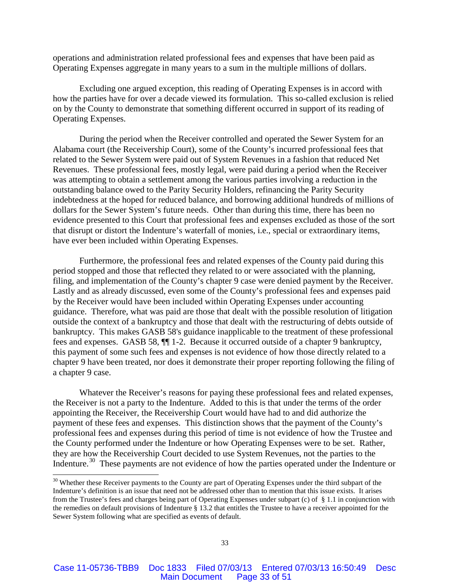operations and administration related professional fees and expenses that have been paid as Operating Expenses aggregate in many years to a sum in the multiple millions of dollars.

Excluding one argued exception, this reading of Operating Expenses is in accord with how the parties have for over a decade viewed its formulation. This so-called exclusion is relied on by the County to demonstrate that something different occurred in support of its reading of Operating Expenses.

During the period when the Receiver controlled and operated the Sewer System for an Alabama court (the Receivership Court), some of the County's incurred professional fees that related to the Sewer System were paid out of System Revenues in a fashion that reduced Net Revenues. These professional fees, mostly legal, were paid during a period when the Receiver was attempting to obtain a settlement among the various parties involving a reduction in the outstanding balance owed to the Parity Security Holders, refinancing the Parity Security indebtedness at the hoped for reduced balance, and borrowing additional hundreds of millions of dollars for the Sewer System's future needs. Other than during this time, there has been no evidence presented to this Court that professional fees and expenses excluded as those of the sort that disrupt or distort the Indenture's waterfall of monies, i.e., special or extraordinary items, have ever been included within Operating Expenses.

Furthermore, the professional fees and related expenses of the County paid during this period stopped and those that reflected they related to or were associated with the planning, filing, and implementation of the County's chapter 9 case were denied payment by the Receiver. Lastly and as already discussed, even some of the County's professional fees and expenses paid by the Receiver would have been included within Operating Expenses under accounting guidance. Therefore, what was paid are those that dealt with the possible resolution of litigation outside the context of a bankruptcy and those that dealt with the restructuring of debts outside of bankruptcy. This makes GASB 58's guidance inapplicable to the treatment of these professional fees and expenses. GASB 58, ¶¶ 1-2.Because it occurred outside of a chapter 9 bankruptcy, this payment of some such fees and expenses is not evidence of how those directly related to a chapter 9 have been treated, nor does it demonstrate their proper reporting following the filing of a chapter 9 case.

Whatever the Receiver's reasons for paying these professional fees and related expenses, the Receiver is not a party to the Indenture. Added to this is that under the terms of the order appointing the Receiver, the Receivership Court would have had to and did authorize the payment of these fees and expenses. This distinction shows that the payment of the County's professional fees and expenses during this period of time is not evidence of how the Trustee and the County performed under the Indenture or how Operating Expenses were to be set. Rather, they are how the Receivership Court decided to use System Revenues, not the parties to the Indenture.[30](#page-32-0) These payments are not evidence of how the parties operated under the Indenture or

<span id="page-32-0"></span><sup>&</sup>lt;sup>30</sup> Whether these Receiver payments to the County are part of Operating Expenses under the third subpart of the Indenture's definition is an issue that need not be addressed other than to mention that this issue exists. It arises from the Trustee's fees and charges being part of Operating Expenses under subpart (c) of § 1.1 in conjunction with the remedies on default provisions of Indenture § 13.2 that entitles the Trustee to have a receiver appointed for the Sewer System following what are specified as events of default.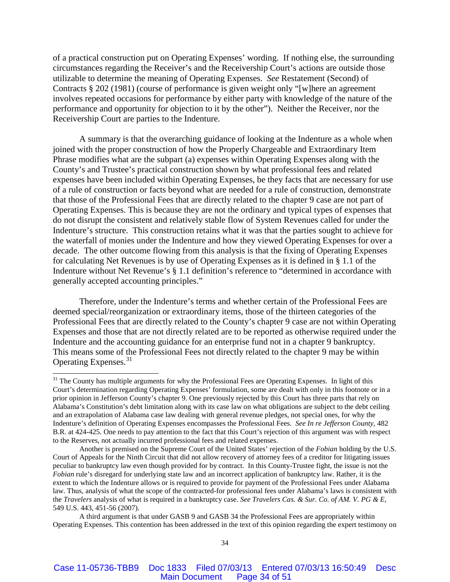of a practical construction put on Operating Expenses' wording. If nothing else, the surrounding circumstances regarding the Receiver's and the Receivership Court's actions are outside those utilizable to determine the meaning of Operating Expenses. *See* Restatement (Second) of Contracts § 202 (1981) (course of performance is given weight only "[w]here an agreement involves repeated occasions for performance by either party with knowledge of the nature of the performance and opportunity for objection to it by the other"). Neither the Receiver, nor the Receivership Court are parties to the Indenture.

A summary is that the overarching guidance of looking at the Indenture as a whole when joined with the proper construction of how the Properly Chargeable and Extraordinary Item Phrase modifies what are the subpart (a) expenses within Operating Expenses along with the County's and Trustee's practical construction shown by what professional fees and related expenses have been included within Operating Expenses, be they facts that are necessary for use of a rule of construction or facts beyond what are needed for a rule of construction, demonstrate that those of the Professional Fees that are directly related to the chapter 9 case are not part of Operating Expenses. This is because they are not the ordinary and typical types of expenses that do not disrupt the consistent and relatively stable flow of System Revenues called for under the Indenture's structure. This construction retains what it was that the parties sought to achieve for the waterfall of monies under the Indenture and how they viewed Operating Expenses for over a decade. The other outcome flowing from this analysis is that the fixing of Operating Expenses for calculating Net Revenues is by use of Operating Expenses as it is defined in § 1.1 of the Indenture without Net Revenue's § 1.1 definition's reference to "determined in accordance with generally accepted accounting principles."

Therefore, under the Indenture's terms and whether certain of the Professional Fees are deemed special/reorganization or extraordinary items, those of the thirteen categories of the Professional Fees that are directly related to the County's chapter 9 case are not within Operating Expenses and those that are not directly related are to be reported as otherwise required under the Indenture and the accounting guidance for an enterprise fund not in a chapter 9 bankruptcy. This means some of the Professional Fees not directly related to the chapter 9 may be within Operating Expenses.<sup>[31](#page-33-0)</sup>

<span id="page-33-0"></span><sup>&</sup>lt;sup>31</sup> The County has multiple arguments for why the Professional Fees are Operating Expenses. In light of this Court's determination regarding Operating Expenses' formulation, some are dealt with only in this footnote or in a prior opinion in Jefferson County's chapter 9. One previously rejected by this Court has three parts that rely on Alabama's Constitution's debt limitation along with its case law on what obligations are subject to the debt ceiling and an extrapolation of Alabama case law dealing with general revenue pledges, not special ones, for why the Indenture's definition of Operating Expenses encompasses the Professional Fees. *See In re Jefferson County,* 482 B.R. at 424-425. One needs to pay attention to the fact that this Court's rejection of this argument was with respect to the Reserves, not actually incurred professional fees and related expenses.

Another is premised on the Supreme Court of the United States' rejection of the *Fobian* holding by the U.S. Court of Appeals for the Ninth Circuit that did not allow recovery of attorney fees of a creditor for litigating issues peculiar to bankruptcy law even though provided for by contract. In this County-Trustee fight, the issue is not the *Fobian* rule's disregard for underlying state law and an incorrect application of bankruptcy law. Rather, it is the extent to which the Indenture allows or is required to provide for payment of the Professional Fees under Alabama law. Thus, analysis of what the scope of the contracted-for professional fees under Alabama's laws is consistent with the *Travelers* analysis of what is required in a bankruptcy case. *See Travelers Cas. & Sur. Co. of AM. V. PG & E,*  549 U.S. 443, 451-56 (2007).

A third argument is that under GASB 9 and GASB 34 the Professional Fees are appropriately within Operating Expenses. This contention has been addressed in the text of this opinion regarding the expert testimony on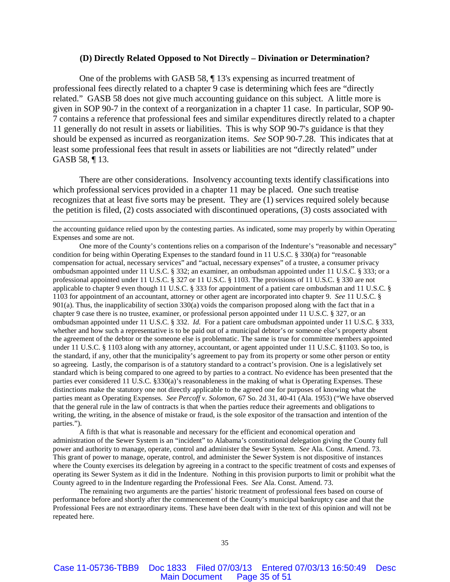#### **(D) Directly Related Opposed to Not Directly – Divination or Determination?**

One of the problems with GASB 58, ¶ 13's expensing as incurred treatment of professional fees directly related to a chapter 9 case is determining which fees are "directly related." GASB 58 does not give much accounting guidance on this subject. A little more is given in SOP 90-7 in the context of a reorganization in a chapter 11 case. In particular, SOP 90- 7 contains a reference that professional fees and similar expenditures directly related to a chapter 11 generally do not result in assets or liabilities. This is why SOP 90-7's guidance is that they should be expensed as incurred as reorganization items. *See* SOP 90-7.28. This indicates that at least some professional fees that result in assets or liabilities are not "directly related" under GASB 58, ¶ 13.

There are other considerations. Insolvency accounting texts identify classifications into which professional services provided in a chapter 11 may be placed. One such treatise recognizes that at least five sorts may be present. They are (1) services required solely because the petition is filed, (2) costs associated with discontinued operations, (3) costs associated with

the accounting guidance relied upon by the contesting parties. As indicated, some may properly by within Operating Expenses and some are not.

 $\overline{a}$ 

One more of the County's contentions relies on a comparison of the Indenture's "reasonable and necessary" condition for being within Operating Expenses to the standard found in 11 U.S.C. § 330(a) for "reasonable compensation for actual, necessary services" and "actual, necessary expenses" of a trustee, a consumer privacy ombudsman appointed under 11 U.S.C. § 332; an examiner, an ombudsman appointed under 11 U.S.C. § 333; or a professional appointed under 11 U.S.C. § 327 or 11 U.S.C. § 1103. The provisions of 11 U.S.C. § 330 are not applicable to chapter 9 even though 11 U.S.C. § 333 for appointment of a patient care ombudsman and 11 U.S.C. § 1103 for appointment of an accountant, attorney or other agent are incorporated into chapter 9. *See* 11 U.S.C. § 901(a). Thus, the inapplicability of section 330(a) voids the comparison proposed along with the fact that in a chapter 9 case there is no trustee, examiner, or professional person appointed under 11 U.S.C. § 327, or an ombudsman appointed under 11 U.S.C. § 332. *Id.* For a patient care ombudsman appointed under 11 U.S.C. § 333, whether and how such a representative is to be paid out of a municipal debtor's or someone else's property absent the agreement of the debtor or the someone else is problematic. The same is true for committee members appointed under 11 U.S.C. § 1103 along with any attorney, accountant, or agent appointed under 11 U.S.C. §1103. So too, is the standard, if any, other that the municipality's agreement to pay from its property or some other person or entity so agreeing. Lastly, the comparison is of a statutory standard to a contract's provision. One is a legislatively set standard which is being compared to one agreed to by parties to a contract. No evidence has been presented that the parties ever considered 11 U.S.C. §330(a)'s reasonableness in the making of what is Operating Expenses. These distinctions make the statutory one not directly applicable to the agreed one for purposes of knowing what the parties meant as Operating Expenses. *See Percoff v. Solomon*, 67 So. 2d 31, 40-41 (Ala. 1953) ("We have observed that the general rule in the law of contracts is that when the parties reduce their agreements and obligations to writing, the writing, in the absence of mistake or fraud, is the sole expositor of the transaction and intention of the parties.").

A fifth is that what is reasonable and necessary for the efficient and economical operation and administration of the Sewer System is an "incident" to Alabama's constitutional delegation giving the County full power and authority to manage, operate, control and administer the Sewer System. *See* Ala. Const. Amend. 73. This grant of power to manage, operate, control, and administer the Sewer System is not dispositive of instances where the County exercises its delegation by agreeing in a contract to the specific treatment of costs and expenses of operating its Sewer System as it did in the Indenture. Nothing in this provision purports to limit or prohibit what the County agreed to in the Indenture regarding the Professional Fees. *See* Ala. Const. Amend. 73.

The remaining two arguments are the parties' historic treatment of professional fees based on course of performance before and shortly after the commencement of the County's municipal bankruptcy case and that the Professional Fees are not extraordinary items. These have been dealt with in the text of this opinion and will not be repeated here.

Case 11-05736-TBB9 Doc 1833 Filed 07/03/13 Entered 07/03/13 16:50:49 Desc Main Document Page 35 of 51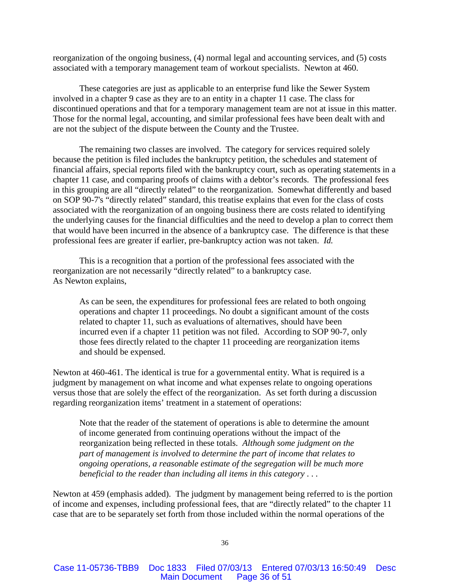reorganization of the ongoing business, (4) normal legal and accounting services, and (5) costs associated with a temporary management team of workout specialists. Newton at 460.

These categories are just as applicable to an enterprise fund like the Sewer System involved in a chapter 9 case as they are to an entity in a chapter 11 case. The class for discontinued operations and that for a temporary management team are not at issue in this matter. Those for the normal legal, accounting, and similar professional fees have been dealt with and are not the subject of the dispute between the County and the Trustee.

The remaining two classes are involved. The category for services required solely because the petition is filed includes the bankruptcy petition, the schedules and statement of financial affairs, special reports filed with the bankruptcy court, such as operating statements in a chapter 11 case, and comparing proofs of claims with a debtor's records. The professional fees in this grouping are all "directly related" to the reorganization. Somewhat differently and based on SOP 90-7's "directly related" standard, this treatise explains that even for the class of costs associated with the reorganization of an ongoing business there are costs related to identifying the underlying causes for the financial difficulties and the need to develop a plan to correct them that would have been incurred in the absence of a bankruptcy case. The difference is that these professional fees are greater if earlier, pre-bankruptcy action was not taken. *Id.*

This is a recognition that a portion of the professional fees associated with the reorganization are not necessarily "directly related" to a bankruptcy case. As Newton explains,

As can be seen, the expenditures for professional fees are related to both ongoing operations and chapter 11 proceedings. No doubt a significant amount of the costs related to chapter 11, such as evaluations of alternatives, should have been incurred even if a chapter 11 petition was not filed. According to SOP 90-7, only those fees directly related to the chapter 11 proceeding are reorganization items and should be expensed.

Newton at 460-461. The identical is true for a governmental entity. What is required is a judgment by management on what income and what expenses relate to ongoing operations versus those that are solely the effect of the reorganization. As set forth during a discussion regarding reorganization items' treatment in a statement of operations:

Note that the reader of the statement of operations is able to determine the amount of income generated from continuing operations without the impact of the reorganization being reflected in these totals. *Although some judgment on the part of management is involved to determine the part of income that relates to ongoing operations, a reasonable estimate of the segregation will be much more beneficial to the reader than including all items in this category* . . .

Newton at 459 (emphasis added). The judgment by management being referred to is the portion of income and expenses, including professional fees, that are "directly related" to the chapter 11 case that are to be separately set forth from those included within the normal operations of the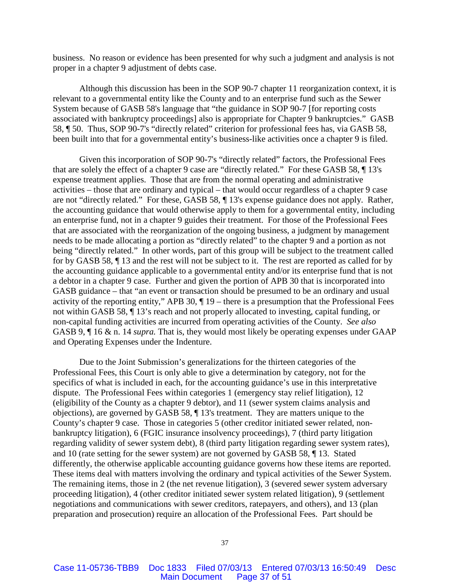business. No reason or evidence has been presented for why such a judgment and analysis is not proper in a chapter 9 adjustment of debts case.

Although this discussion has been in the SOP 90-7 chapter 11 reorganization context, it is relevant to a governmental entity like the County and to an enterprise fund such as the Sewer System because of GASB 58's language that "the guidance in SOP 90-7 [for reporting costs associated with bankruptcy proceedings] also is appropriate for Chapter 9 bankruptcies." GASB 58, ¶ 50. Thus, SOP 90-7's "directly related" criterion for professional fees has, via GASB 58, been built into that for a governmental entity's business-like activities once a chapter 9 is filed.

Given this incorporation of SOP 90-7's "directly related" factors, the Professional Fees that are solely the effect of a chapter 9 case are "directly related." For these GASB 58, ¶ 13's expense treatment applies. Those that are from the normal operating and administrative activities – those that are ordinary and typical – that would occur regardless of a chapter 9 case are not "directly related." For these, GASB 58, ¶ 13's expense guidance does not apply. Rather, the accounting guidance that would otherwise apply to them for a governmental entity, including an enterprise fund, not in a chapter 9 guides their treatment. For those of the Professional Fees that are associated with the reorganization of the ongoing business, a judgment by management needs to be made allocating a portion as "directly related" to the chapter 9 and a portion as not being "directly related." In other words, part of this group will be subject to the treatment called for by GASB 58, ¶ 13 and the rest will not be subject to it. The rest are reported as called for by the accounting guidance applicable to a governmental entity and/or its enterprise fund that is not a debtor in a chapter 9 case. Further and given the portion of APB 30 that is incorporated into GASB guidance – that "an event or transaction should be presumed to be an ordinary and usual activity of the reporting entity," APB 30,  $\P$  19 – there is a presumption that the Professional Fees not within GASB 58, ¶ 13's reach and not properly allocated to investing, capital funding, or non-capital funding activities are incurred from operating activities of the County. *See also*  GASB 9, ¶ 16 & n. 14 *supra.* That is, they would most likely be operating expenses under GAAP and Operating Expenses under the Indenture.

Due to the Joint Submission's generalizations for the thirteen categories of the Professional Fees, this Court is only able to give a determination by category, not for the specifics of what is included in each, for the accounting guidance's use in this interpretative dispute. The Professional Fees within categories 1 (emergency stay relief litigation), 12 (eligibility of the County as a chapter 9 debtor), and 11 (sewer system claims analysis and objections), are governed by GASB 58, ¶ 13's treatment. They are matters unique to the County's chapter 9 case. Those in categories 5 (other creditor initiated sewer related, nonbankruptcy litigation), 6 (FGIC insurance insolvency proceedings), 7 (third party litigation regarding validity of sewer system debt), 8 (third party litigation regarding sewer system rates), and 10 (rate setting for the sewer system) are not governed by GASB 58, ¶ 13. Stated differently, the otherwise applicable accounting guidance governs how these items are reported. These items deal with matters involving the ordinary and typical activities of the Sewer System. The remaining items, those in 2 (the net revenue litigation), 3 (severed sewer system adversary proceeding litigation), 4 (other creditor initiated sewer system related litigation), 9 (settlement negotiations and communications with sewer creditors, ratepayers, and others), and 13 (plan preparation and prosecution) require an allocation of the Professional Fees. Part should be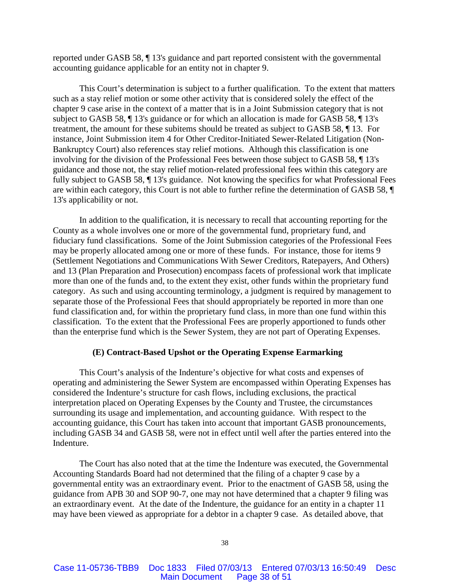reported under GASB 58, ¶ 13's guidance and part reported consistent with the governmental accounting guidance applicable for an entity not in chapter 9.

This Court's determination is subject to a further qualification. To the extent that matters such as a stay relief motion or some other activity that is considered solely the effect of the chapter 9 case arise in the context of a matter that is in a Joint Submission category that is not subject to GASB 58, ¶ 13's guidance or for which an allocation is made for GASB 58, ¶ 13's treatment, the amount for these subitems should be treated as subject to GASB 58, ¶ 13. For instance, Joint Submission item 4 for Other Creditor-Initiated Sewer-Related Litigation (Non-Bankruptcy Court) also references stay relief motions. Although this classification is one involving for the division of the Professional Fees between those subject to GASB 58, ¶ 13's guidance and those not, the stay relief motion-related professional fees within this category are fully subject to GASB 58, ¶ 13's guidance. Not knowing the specifics for what Professional Fees are within each category, this Court is not able to further refine the determination of GASB 58, ¶ 13's applicability or not.

In addition to the qualification, it is necessary to recall that accounting reporting for the County as a whole involves one or more of the governmental fund, proprietary fund, and fiduciary fund classifications. Some of the Joint Submission categories of the Professional Fees may be properly allocated among one or more of these funds. For instance, those for items 9 (Settlement Negotiations and Communications With Sewer Creditors, Ratepayers, And Others) and 13 (Plan Preparation and Prosecution) encompass facets of professional work that implicate more than one of the funds and, to the extent they exist, other funds within the proprietary fund category. As such and using accounting terminology, a judgment is required by management to separate those of the Professional Fees that should appropriately be reported in more than one fund classification and, for within the proprietary fund class, in more than one fund within this classification. To the extent that the Professional Fees are properly apportioned to funds other than the enterprise fund which is the Sewer System, they are not part of Operating Expenses.

## **(E) Contract-Based Upshot or the Operating Expense Earmarking**

This Court's analysis of the Indenture's objective for what costs and expenses of operating and administering the Sewer System are encompassed within Operating Expenses has considered the Indenture's structure for cash flows, including exclusions, the practical interpretation placed on Operating Expenses by the County and Trustee, the circumstances surrounding its usage and implementation, and accounting guidance. With respect to the accounting guidance, this Court has taken into account that important GASB pronouncements, including GASB 34 and GASB 58, were not in effect until well after the parties entered into the Indenture.

The Court has also noted that at the time the Indenture was executed, the Governmental Accounting Standards Board had not determined that the filing of a chapter 9 case by a governmental entity was an extraordinary event. Prior to the enactment of GASB 58, using the guidance from APB 30 and SOP 90-7, one may not have determined that a chapter 9 filing was an extraordinary event. At the date of the Indenture, the guidance for an entity in a chapter 11 may have been viewed as appropriate for a debtor in a chapter 9 case. As detailed above, that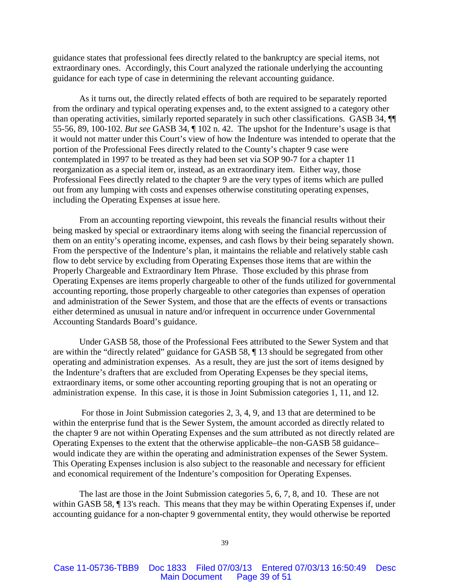guidance states that professional fees directly related to the bankruptcy are special items, not extraordinary ones. Accordingly, this Court analyzed the rationale underlying the accounting guidance for each type of case in determining the relevant accounting guidance.

As it turns out, the directly related effects of both are required to be separately reported from the ordinary and typical operating expenses and, to the extent assigned to a category other than operating activities, similarly reported separately in such other classifications. GASB 34, ¶¶ 55-56, 89, 100-102. *But see* GASB 34, ¶ 102 n. 42.The upshot for the Indenture's usage is that it would not matter under this Court's view of how the Indenture was intended to operate that the portion of the Professional Fees directly related to the County's chapter 9 case were contemplated in 1997 to be treated as they had been set via SOP 90-7 for a chapter 11 reorganization as a special item or, instead, as an extraordinary item. Either way, those Professional Fees directly related to the chapter 9 are the very types of items which are pulled out from any lumping with costs and expenses otherwise constituting operating expenses, including the Operating Expenses at issue here.

From an accounting reporting viewpoint, this reveals the financial results without their being masked by special or extraordinary items along with seeing the financial repercussion of them on an entity's operating income, expenses, and cash flows by their being separately shown. From the perspective of the Indenture's plan, it maintains the reliable and relatively stable cash flow to debt service by excluding from Operating Expenses those items that are within the Properly Chargeable and Extraordinary Item Phrase. Those excluded by this phrase from Operating Expenses are items properly chargeable to other of the funds utilized for governmental accounting reporting, those properly chargeable to other categories than expenses of operation and administration of the Sewer System, and those that are the effects of events or transactions either determined as unusual in nature and/or infrequent in occurrence under Governmental Accounting Standards Board's guidance.

Under GASB 58, those of the Professional Fees attributed to the Sewer System and that are within the "directly related" guidance for GASB 58, ¶ 13 should be segregated from other operating and administration expenses. As a result, they are just the sort of items designed by the Indenture's drafters that are excluded from Operating Expenses be they special items, extraordinary items, or some other accounting reporting grouping that is not an operating or administration expense. In this case, it is those in Joint Submission categories 1, 11, and 12.

For those in Joint Submission categories 2, 3, 4, 9, and 13 that are determined to be within the enterprise fund that is the Sewer System, the amount accorded as directly related to the chapter 9 are not within Operating Expenses and the sum attributed as not directly related are Operating Expenses to the extent that the otherwise applicable–the non-GASB 58 guidance– would indicate they are within the operating and administration expenses of the Sewer System. This Operating Expenses inclusion is also subject to the reasonable and necessary for efficient and economical requirement of the Indenture's composition for Operating Expenses.

The last are those in the Joint Submission categories 5, 6, 7, 8, and 10. These are not within GASB 58, ¶ 13's reach. This means that they may be within Operating Expenses if, under accounting guidance for a non-chapter 9 governmental entity, they would otherwise be reported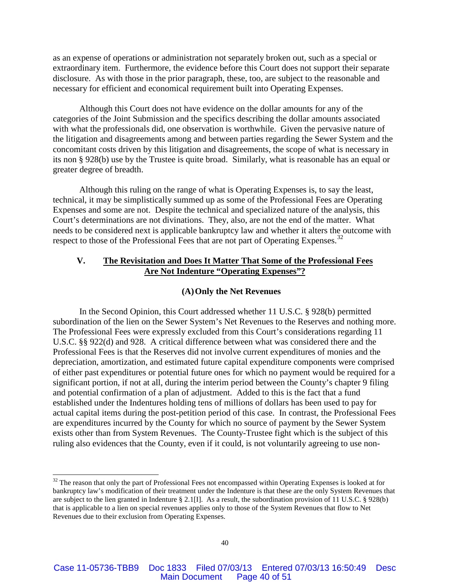as an expense of operations or administration not separately broken out, such as a special or extraordinary item. Furthermore, the evidence before this Court does not support their separate disclosure. As with those in the prior paragraph, these, too, are subject to the reasonable and necessary for efficient and economical requirement built into Operating Expenses.

Although this Court does not have evidence on the dollar amounts for any of the categories of the Joint Submission and the specifics describing the dollar amounts associated with what the professionals did, one observation is worthwhile. Given the pervasive nature of the litigation and disagreements among and between parties regarding the Sewer System and the concomitant costs driven by this litigation and disagreements, the scope of what is necessary in its non § 928(b) use by the Trustee is quite broad. Similarly, what is reasonable has an equal or greater degree of breadth.

Although this ruling on the range of what is Operating Expenses is, to say the least, technical, it may be simplistically summed up as some of the Professional Fees are Operating Expenses and some are not. Despite the technical and specialized nature of the analysis, this Court's determinations are not divinations. They, also, are not the end of the matter. What needs to be considered next is applicable bankruptcy law and whether it alters the outcome with respect to those of the Professional Fees that are not part of Operating Expenses.<sup>[32](#page-39-0)</sup>

## **V. The Revisitation and Does It Matter That Some of the Professional Fees Are Not Indenture "Operating Expenses"?**

## **(A)Only the Net Revenues**

In the Second Opinion, this Court addressed whether 11 U.S.C. § 928(b) permitted subordination of the lien on the Sewer System's Net Revenues to the Reserves and nothing more. The Professional Fees were expressly excluded from this Court's considerations regarding 11 U.S.C. §§ 922(d) and 928. A critical difference between what was considered there and the Professional Fees is that the Reserves did not involve current expenditures of monies and the depreciation, amortization, and estimated future capital expenditure components were comprised of either past expenditures or potential future ones for which no payment would be required for a significant portion, if not at all, during the interim period between the County's chapter 9 filing and potential confirmation of a plan of adjustment. Added to this is the fact that a fund established under the Indentures holding tens of millions of dollars has been used to pay for actual capital items during the post-petition period of this case. In contrast, the Professional Fees are expenditures incurred by the County for which no source of payment by the Sewer System exists other than from System Revenues. The County-Trustee fight which is the subject of this ruling also evidences that the County, even if it could, is not voluntarily agreeing to use non-

<span id="page-39-0"></span><sup>&</sup>lt;sup>32</sup> The reason that only the part of Professional Fees not encompassed within Operating Expenses is looked at for bankruptcy law's modification of their treatment under the Indenture is that these are the only System Revenues that are subject to the lien granted in Indenture § 2.1[I]. As a result, the subordination provision of 11 U.S.C. § 928(b) that is applicable to a lien on special revenues applies only to those of the System Revenues that flow to Net Revenues due to their exclusion from Operating Expenses.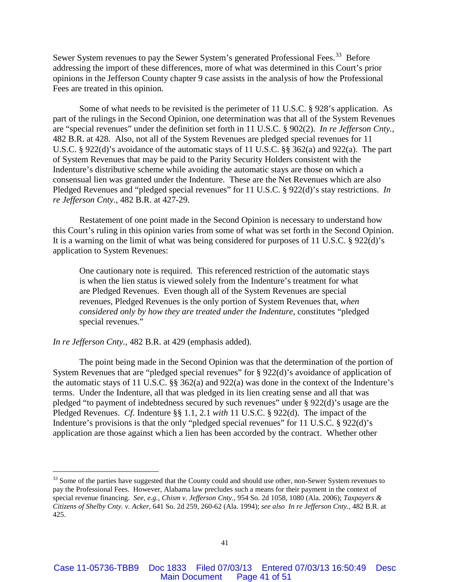Sewer System revenues to pay the Sewer System's generated Professional Fees.<sup>[33](#page-40-0)</sup> Before addressing the import of these differences, more of what was determined in this Court's prior opinions in the Jefferson County chapter 9 case assists in the analysis of how the Professional Fees are treated in this opinion.

Some of what needs to be revisited is the perimeter of 11 U.S.C. § 928's application. As part of the rulings in the Second Opinion, one determination was that all of the System Revenues are "special revenues" under the definition set forth in 11 U.S.C. § 902(2). *In re Jefferson Cnty.*, 482 B.R. at 428. Also, not all of the System Revenues are pledged special revenues for 11 U.S.C. § 922(d)'s avoidance of the automatic stays of 11 U.S.C. §§ 362(a) and 922(a). The part of System Revenues that may be paid to the Parity Security Holders consistent with the Indenture's distributive scheme while avoiding the automatic stays are those on which a consensual lien was granted under the Indenture. These are the Net Revenues which are also Pledged Revenues and "pledged special revenues" for 11 U.S.C. § 922(d)'s stay restrictions. *In re Jefferson Cnty.*, 482 B.R. at 427-29.

Restatement of one point made in the Second Opinion is necessary to understand how this Court's ruling in this opinion varies from some of what was set forth in the Second Opinion. It is a warning on the limit of what was being considered for purposes of 11 U.S.C. § 922(d)'s application to System Revenues:

One cautionary note is required. This referenced restriction of the automatic stays is when the lien status is viewed solely from the Indenture's treatment for what are Pledged Revenues. Even though all of the System Revenues are special revenues, Pledged Revenues is the only portion of System Revenues that, *when considered only by how they are treated under the Indenture*, constitutes "pledged special revenues."

*In re Jefferson Cnty.*, 482 B.R. at 429 (emphasis added).

The point being made in the Second Opinion was that the determination of the portion of System Revenues that are "pledged special revenues" for § 922(d)'s avoidance of application of the automatic stays of 11 U.S.C. §§ 362(a) and 922(a) was done in the context of the Indenture's terms. Under the Indenture, all that was pledged in its lien creating sense and all that was pledged "to payment of indebtedness secured by such revenues" under § 922(d)'s usage are the Pledged Revenues. *Cf.* Indenture §§ 1.1, 2.1 *with* 11 U.S.C. § 922(d). The impact of the Indenture's provisions is that the only "pledged special revenues" for 11 U.S.C. § 922(d)'s application are those against which a lien has been accorded by the contract. Whether other

<span id="page-40-0"></span><sup>&</sup>lt;sup>33</sup> Some of the parties have suggested that the County could and should use other, non-Sewer System revenues to pay the Professional Fees. However, Alabama law precludes such a means for their payment in the context of special revenue financing. *See, e.g.*, *Chism v. Jefferson Cnty.*, 954 So. 2d 1058, 1080 (Ala. 2006); *Taxpayers & Citizens of Shelby Cnty. v. Acker*, 641 So. 2d 259, 260-62 (Ala. 1994); *see also In re Jefferson Cnty.*, 482 B.R. at 425.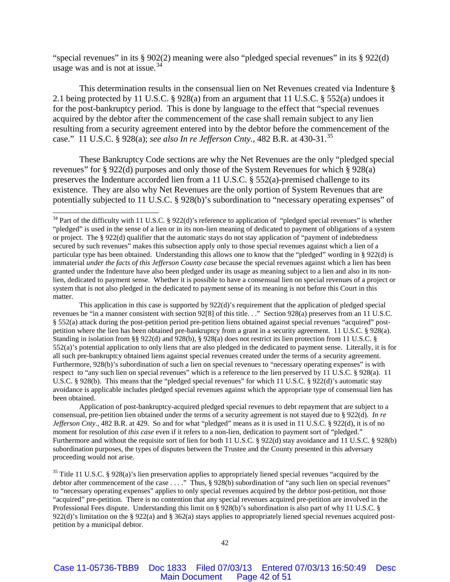"special revenues" in its § 902(2) meaning were also "pledged special revenues" in its § 922(d) usage was and is not at issue.  $34$ 

This determination results in the consensual lien on Net Revenues created via Indenture § 2.1 being protected by 11 U.S.C. § 928(a) from an argument that 11 U.S.C. § 552(a) undoes it for the post-bankruptcy period. This is done by language to the effect that "special revenues acquired by the debtor after the commencement of the case shall remain subject to any lien resulting from a security agreement entered into by the debtor before the commencement of the case." 11 U.S.C. § 928(a); *see also In re Jefferson Cnty.*, 482 B.R. at 430-31.[35](#page-41-1)

These Bankruptcy Code sections are why the Net Revenues are the only "pledged special revenues" for § 922(d) purposes and only those of the System Revenues for which § 928(a) preserves the Indenture accorded lien from a 11 U.S.C. § 552(a)-premised challenge to its existence. They are also why Net Revenues are the only portion of System Revenues that are potentially subjected to 11 U.S.C. § 928(b)'s subordination to "necessary operating expenses" of

This application in this case is supported by 922(d)'s requirement that the application of pledged special revenues be "in a manner consistent with section 92[8] of this title. . ." Section 928(a) preserves from an 11 U.S.C. § 552(a) attack during the post-petition period pre-petition liens obtained against special revenues "acquired" postpetition where the lien has been obtained pre-bankruptcy from a grant in a security agreement. 11 U.S.C. § 928(a). Standing in isolation from §§ 922(d) and 928(b), § 928(a) does not restrict its lien protection from 11 U.S.C. § 552(a)'s potential application to only liens that are also pledged in the dedicated to payment sense. Literally, it is for all such pre-bankruptcy obtained liens against special revenues created under the terms of a security agreement. Furthermore, 928(b)'s subordination of such a lien on special revenues to "necessary operating expenses" is with respect to "any such lien on special revenues" which is a reference to the lien preserved by 11 U.S.C. § 928(a). 11 U.S.C. § 928(b). This means that the "pledged special revenues" for which 11 U.S.C. § 922(d)'s automatic stay avoidance is applicable includes pledged special revenues against which the appropriate type of consensual lien has been obtained.

Application of post-bankruptcy-acquired pledged special revenues to debt repayment that are subject to a consensual, pre-petition lien obtained under the terms of a security agreement is not stayed due to § 922(d). *In re Jefferson Cnty.*, 482 B.R. at 429. So and for what "pledged" means as it is used in 11 U.S.C. § 922(d), it is of no moment for resolution of *this case* even if it refers to a non-lien, dedication to payment sort of "pledged." Furthermore and without the requisite sort of lien for both 11 U.S.C. § 922(d) stay avoidance and 11 U.S.C. § 928(b) subordination purposes, the types of disputes between the Trustee and the County presented in this adversary proceeding would not arise.

<span id="page-41-1"></span> $35$  Title 11 U.S.C. § 928(a)'s lien preservation applies to appropriately liened special revenues "acquired by the debtor after commencement of the case . . . ." Thus, § 928(b) subordination of "any such lien on special revenues" to "necessary operating expenses" applies to only special revenues acquired by the debtor post-petition, not those "acquired" pre-petition. There is no contention that any special revenues acquired pre-petition are involved in the Professional Fees dispute. Understanding this limit on § 928(b)'s subordination is also part of why 11 U.S.C. § 922(d)'s limitation on the § 922(a) and § 362(a) stays applies to appropriately liened special revenues acquired postpetition by a municipal debtor.

<span id="page-41-0"></span><sup>&</sup>lt;sup>34</sup> Part of the difficulty with 11 U.S.C. § 922(d)'s reference to application of "pledged special revenues" is whether "pledged" is used in the sense of a lien or in its non-lien meaning of dedicated to payment of obligations of a system or project. The § 922(d) qualifier that the automatic stays do not stay application of "payment of indebtedness secured by such revenues" makes this subsection apply only to those special revenues against which a lien of a particular type has been obtained. Understanding this allows one to know that the "pledged" wording in § 922(d) is immaterial *under the facts of this Jefferson County case* because the special revenues against which a lien has been granted under the Indenture have also been pledged under its usage as meaning subject to a lien and also in its nonlien, dedicated to payment sense. Whether it is possible to have a consensual lien on special revenues of a project or system that is not also pledged in the dedicated to payment sense of its meaning is not before this Court in this matter.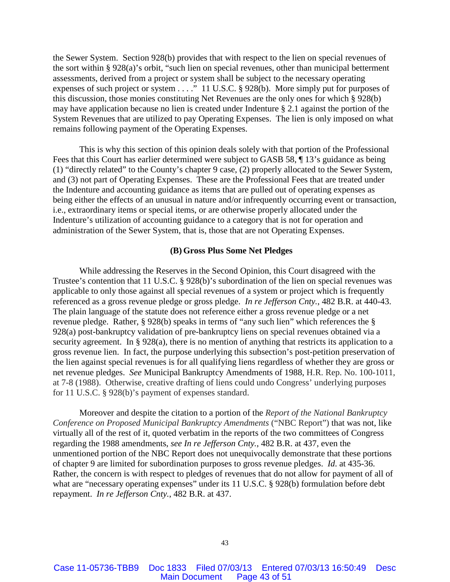the Sewer System. Section 928(b) provides that with respect to the lien on special revenues of the sort within § 928(a)'s orbit, "such lien on special revenues, other than municipal betterment assessments, derived from a project or system shall be subject to the necessary operating expenses of such project or system . . . ." 11 U.S.C. § 928(b). More simply put for purposes of this discussion, those monies constituting Net Revenues are the only ones for which § 928(b) may have application because no lien is created under Indenture § 2.1 against the portion of the System Revenues that are utilized to pay Operating Expenses. The lien is only imposed on what remains following payment of the Operating Expenses.

This is why this section of this opinion deals solely with that portion of the Professional Fees that this Court has earlier determined were subject to GASB 58,  $\P$  13's guidance as being (1) "directly related" to the County's chapter 9 case, (2) properly allocated to the Sewer System, and (3) not part of Operating Expenses. These are the Professional Fees that are treated under the Indenture and accounting guidance as items that are pulled out of operating expenses as being either the effects of an unusual in nature and/or infrequently occurring event or transaction, i.e., extraordinary items or special items, or are otherwise properly allocated under the Indenture's utilization of accounting guidance to a category that is not for operation and administration of the Sewer System, that is, those that are not Operating Expenses.

## **(B) Gross Plus Some Net Pledges**

While addressing the Reserves in the Second Opinion, this Court disagreed with the Trustee's contention that 11 U.S.C. § 928(b)'s subordination of the lien on special revenues was applicable to only those against all special revenues of a system or project which is frequently referenced as a gross revenue pledge or gross pledge. *In re Jefferson Cnty.*, 482 B.R. at 440-43. The plain language of the statute does not reference either a gross revenue pledge or a net revenue pledge. Rather, § 928(b) speaks in terms of "any such lien" which references the § 928(a) post-bankruptcy validation of pre-bankruptcy liens on special revenues obtained via a security agreement. In § 928(a), there is no mention of anything that restricts its application to a gross revenue lien. In fact, the purpose underlying this subsection's post-petition preservation of the lien against special revenues is for all qualifying liens regardless of whether they are gross or net revenue pledges. *See* Municipal Bankruptcy Amendments of 1988, H.R. Rep. No. 100-1011, at 7-8 (1988). Otherwise, creative drafting of liens could undo Congress' underlying purposes for 11 U.S.C. § 928(b)'s payment of expenses standard.

Moreover and despite the citation to a portion of the *Report of the National Bankruptcy Conference on Proposed Municipal Bankruptcy Amendments* ("NBC Report") that was not, like virtually all of the rest of it, quoted verbatim in the reports of the two committees of Congress regarding the 1988 amendments, *see In re Jefferson Cnty.*, 482 B.R. at 437, even the unmentioned portion of the NBC Report does not unequivocally demonstrate that these portions of chapter 9 are limited for subordination purposes to gross revenue pledges. *Id*. at 435-36. Rather, the concern is with respect to pledges of revenues that do not allow for payment of all of what are "necessary operating expenses" under its 11 U.S.C. § 928(b) formulation before debt repayment. *In re Jefferson Cnty.*, 482 B.R. at 437.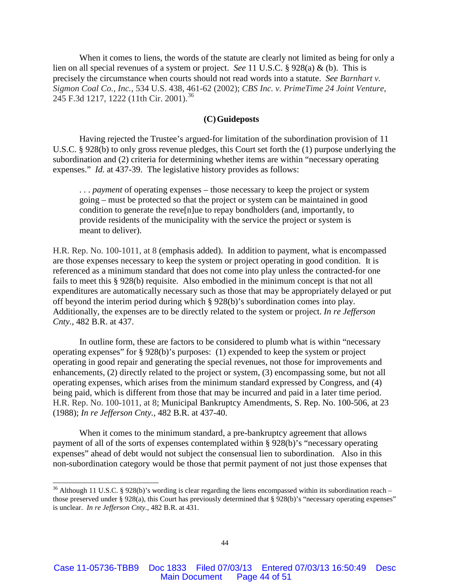When it comes to liens, the words of the statute are clearly not limited as being for only a lien on all special revenues of a system or project. *See* 11 U.S.C. § 928(a) & (b). This is precisely the circumstance when courts should not read words into a statute. *See Barnhart v. Sigmon Coal Co., Inc.*, 534 U.S. 438, 461-62 (2002); *CBS Inc. v. PrimeTime 24 Joint Venture*, 245 F.3d 1217, 1222 (11th Cir. 2001).<sup>[36](#page-43-0)</sup>

## **(C)Guideposts**

Having rejected the Trustee's argued-for limitation of the subordination provision of 11 U.S.C. § 928(b) to only gross revenue pledges, this Court set forth the (1) purpose underlying the subordination and (2) criteria for determining whether items are within "necessary operating expenses." *Id.* at 437-39. The legislative history provides as follows:

. . . *payment* of operating expenses – those necessary to keep the project or system going – must be protected so that the project or system can be maintained in good condition to generate the reve[n]ue to repay bondholders (and, importantly, to provide residents of the municipality with the service the project or system is meant to deliver).

H.R. Rep. No. 100-1011, at 8 (emphasis added). In addition to payment, what is encompassed are those expenses necessary to keep the system or project operating in good condition. It is referenced as a minimum standard that does not come into play unless the contracted-for one fails to meet this § 928(b) requisite. Also embodied in the minimum concept is that not all expenditures are automatically necessary such as those that may be appropriately delayed or put off beyond the interim period during which § 928(b)'s subordination comes into play. Additionally, the expenses are to be directly related to the system or project. *In re Jefferson Cnty.*, 482 B.R. at 437.

In outline form, these are factors to be considered to plumb what is within "necessary operating expenses" for § 928(b)'s purposes: (1) expended to keep the system or project operating in good repair and generating the special revenues, not those for improvements and enhancements, (2) directly related to the project or system, (3) encompassing some, but not all operating expenses, which arises from the minimum standard expressed by Congress, and (4) being paid, which is different from those that may be incurred and paid in a later time period. H.R. Rep. No. 100-1011, at 8; Municipal Bankruptcy Amendments, S. Rep. No. 100-506, at 23 (1988); *In re Jefferson Cnty.*, 482 B.R. at 437-40.

When it comes to the minimum standard, a pre-bankruptcy agreement that allows payment of all of the sorts of expenses contemplated within § 928(b)'s "necessary operating expenses" ahead of debt would not subject the consensual lien to subordination. Also in this non-subordination category would be those that permit payment of not just those expenses that

<span id="page-43-0"></span><sup>&</sup>lt;sup>36</sup> Although 11 U.S.C. § 928(b)'s wording is clear regarding the liens encompassed within its subordination reach – those preserved under § 928(a), this Court has previously determined that § 928(b)'s "necessary operating expenses" is unclear. *In re Jefferson Cnty.*, 482 B.R. at 431.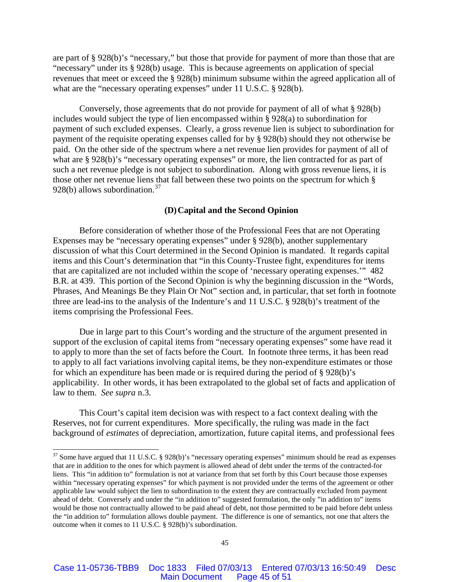are part of § 928(b)'s "necessary," but those that provide for payment of more than those that are "necessary" under its § 928(b) usage. This is because agreements on application of special revenues that meet or exceed the § 928(b) minimum subsume within the agreed application all of what are the "necessary operating expenses" under 11 U.S.C. § 928(b).

Conversely, those agreements that do not provide for payment of all of what § 928(b) includes would subject the type of lien encompassed within § 928(a) to subordination for payment of such excluded expenses. Clearly, a gross revenue lien is subject to subordination for payment of the requisite operating expenses called for by § 928(b) should they not otherwise be paid. On the other side of the spectrum where a net revenue lien provides for payment of all of what are § 928(b)'s "necessary operating expenses" or more, the lien contracted for as part of such a net revenue pledge is not subject to subordination. Along with gross revenue liens, it is those other net revenue liens that fall between these two points on the spectrum for which § 928(b) allows subordination.<sup>[37](#page-44-0)</sup>

## **(D)Capital and the Second Opinion**

Before consideration of whether those of the Professional Fees that are not Operating Expenses may be "necessary operating expenses" under § 928(b), another supplementary discussion of what this Court determined in the Second Opinion is mandated. It regards capital items and this Court's determination that "in this County-Trustee fight, expenditures for items that are capitalized are not included within the scope of 'necessary operating expenses.'" 482 B.R. at 439. This portion of the Second Opinion is why the beginning discussion in the "Words, Phrases, And Meanings Be they Plain Or Not" section and, in particular, that set forth in footnote three are lead-ins to the analysis of the Indenture's and 11 U.S.C. § 928(b)'s treatment of the items comprising the Professional Fees.

Due in large part to this Court's wording and the structure of the argument presented in support of the exclusion of capital items from "necessary operating expenses" some have read it to apply to more than the set of facts before the Court. In footnote three terms, it has been read to apply to all fact variations involving capital items, be they non-expenditure estimates or those for which an expenditure has been made or is required during the period of § 928(b)'s applicability. In other words, it has been extrapolated to the global set of facts and application of law to them. *See supra* n.3.

This Court's capital item decision was with respect to a fact context dealing with the Reserves, not for current expenditures. More specifically, the ruling was made in the fact background of *estimates* of depreciation, amortization, future capital items, and professional fees

<span id="page-44-0"></span><sup>&</sup>lt;sup>37</sup> Some have argued that 11 U.S.C. § 928(b)'s "necessary operating expenses" minimum should be read as expenses that are in addition to the ones for which payment is allowed ahead of debt under the terms of the contracted-for liens. This "in addition to" formulation is not at variance from that set forth by this Court because those expenses within "necessary operating expenses" for which payment is not provided under the terms of the agreement or other applicable law would subject the lien to subordination to the extent they are contractually excluded from payment ahead of debt. Conversely and under the "in addition to" suggested formulation, the only "in addition to" items would be those not contractually allowed to be paid ahead of debt, not those permitted to be paid before debt unless the "in addition to" formulation allows double payment. The difference is one of semantics, not one that alters the outcome when it comes to 11 U.S.C. § 928(b)'s subordination.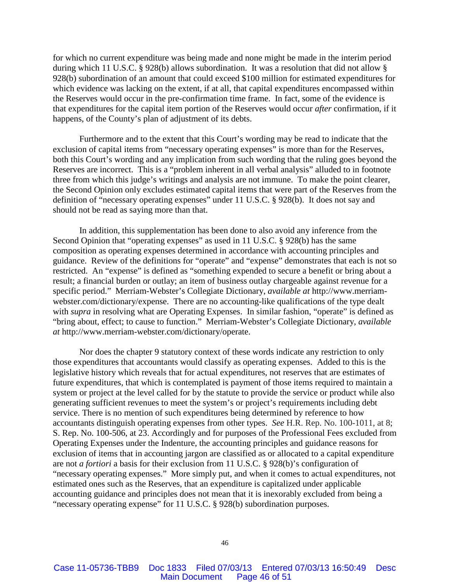for which no current expenditure was being made and none might be made in the interim period during which 11 U.S.C. § 928(b) allows subordination. It was a resolution that did not allow § 928(b) subordination of an amount that could exceed \$100 million for estimated expenditures for which evidence was lacking on the extent, if at all, that capital expenditures encompassed within the Reserves would occur in the pre-confirmation time frame. In fact, some of the evidence is that expenditures for the capital item portion of the Reserves would occur *after* confirmation, if it happens, of the County's plan of adjustment of its debts.

Furthermore and to the extent that this Court's wording may be read to indicate that the exclusion of capital items from "necessary operating expenses" is more than for the Reserves, both this Court's wording and any implication from such wording that the ruling goes beyond the Reserves are incorrect. This is a "problem inherent in all verbal analysis" alluded to in footnote three from which this judge's writings and analysis are not immune. To make the point clearer, the Second Opinion only excludes estimated capital items that were part of the Reserves from the definition of "necessary operating expenses" under 11 U.S.C. § 928(b). It does not say and should not be read as saying more than that.

In addition, this supplementation has been done to also avoid any inference from the Second Opinion that "operating expenses" as used in 11 U.S.C. § 928(b) has the same composition as operating expenses determined in accordance with accounting principles and guidance. Review of the definitions for "operate" and "expense" demonstrates that each is not so restricted. An "expense" is defined as "something expended to secure a benefit or bring about a result; a financial burden or outlay; an item of business outlay chargeable against revenue for a specific period." Merriam-Webster's Collegiate Dictionary, *available at* http://www.merriamwebster.com/dictionary/expense. There are no accounting-like qualifications of the type dealt with *supra* in resolving what are Operating Expenses. In similar fashion, "operate" is defined as "bring about, effect; to cause to function." Merriam-Webster's Collegiate Dictionary, *available at* http://www.merriam-webster.com/dictionary/operate.

Nor does the chapter 9 statutory context of these words indicate any restriction to only those expenditures that accountants would classify as operating expenses. Added to this is the legislative history which reveals that for actual expenditures, not reserves that are estimates of future expenditures, that which is contemplated is payment of those items required to maintain a system or project at the level called for by the statute to provide the service or product while also generating sufficient revenues to meet the system's or project's requirements including debt service. There is no mention of such expenditures being determined by reference to how accountants distinguish operating expenses from other types. *See* H.R. Rep. No. 100-1011, at 8; S. Rep. No. 100-506, at 23. Accordingly and for purposes of the Professional Fees excluded from Operating Expenses under the Indenture, the accounting principles and guidance reasons for exclusion of items that in accounting jargon are classified as or allocated to a capital expenditure are not *a fortiori* a basis for their exclusion from 11 U.S.C. § 928(b)'s configuration of "necessary operating expenses." More simply put, and when it comes to actual expenditures, not estimated ones such as the Reserves, that an expenditure is capitalized under applicable accounting guidance and principles does not mean that it is inexorably excluded from being a "necessary operating expense" for 11 U.S.C. § 928(b) subordination purposes.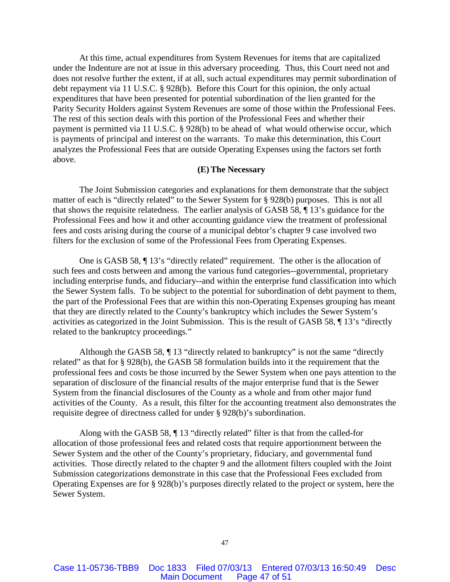At this time, actual expenditures from System Revenues for items that are capitalized under the Indenture are not at issue in this adversary proceeding. Thus, this Court need not and does not resolve further the extent, if at all, such actual expenditures may permit subordination of debt repayment via 11 U.S.C. § 928(b). Before this Court for this opinion, the only actual expenditures that have been presented for potential subordination of the lien granted for the Parity Security Holders against System Revenues are some of those within the Professional Fees. The rest of this section deals with this portion of the Professional Fees and whether their payment is permitted via 11 U.S.C. § 928(b) to be ahead of what would otherwise occur, which is payments of principal and interest on the warrants. To make this determination, this Court analyzes the Professional Fees that are outside Operating Expenses using the factors set forth above.

## **(E) The Necessary**

The Joint Submission categories and explanations for them demonstrate that the subject matter of each is "directly related" to the Sewer System for § 928(b) purposes. This is not all that shows the requisite relatedness. The earlier analysis of GASB 58, ¶ 13's guidance for the Professional Fees and how it and other accounting guidance view the treatment of professional fees and costs arising during the course of a municipal debtor's chapter 9 case involved two filters for the exclusion of some of the Professional Fees from Operating Expenses.

One is GASB 58, ¶ 13's "directly related" requirement. The other is the allocation of such fees and costs between and among the various fund categories--governmental, proprietary including enterprise funds, and fiduciary--and within the enterprise fund classification into which the Sewer System falls. To be subject to the potential for subordination of debt payment to them, the part of the Professional Fees that are within this non-Operating Expenses grouping has meant that they are directly related to the County's bankruptcy which includes the Sewer System's activities as categorized in the Joint Submission. This is the result of GASB 58, ¶ 13's "directly related to the bankruptcy proceedings."

Although the GASB 58, ¶ 13 "directly related to bankruptcy" is not the same "directly related" as that for § 928(b), the GASB 58 formulation builds into it the requirement that the professional fees and costs be those incurred by the Sewer System when one pays attention to the separation of disclosure of the financial results of the major enterprise fund that is the Sewer System from the financial disclosures of the County as a whole and from other major fund activities of the County. As a result, this filter for the accounting treatment also demonstrates the requisite degree of directness called for under § 928(b)'s subordination.

Along with the GASB 58, ¶ 13 "directly related" filter is that from the called-for allocation of those professional fees and related costs that require apportionment between the Sewer System and the other of the County's proprietary, fiduciary, and governmental fund activities. Those directly related to the chapter 9 and the allotment filters coupled with the Joint Submission categorizations demonstrate in this case that the Professional Fees excluded from Operating Expenses are for § 928(b)'s purposes directly related to the project or system, here the Sewer System.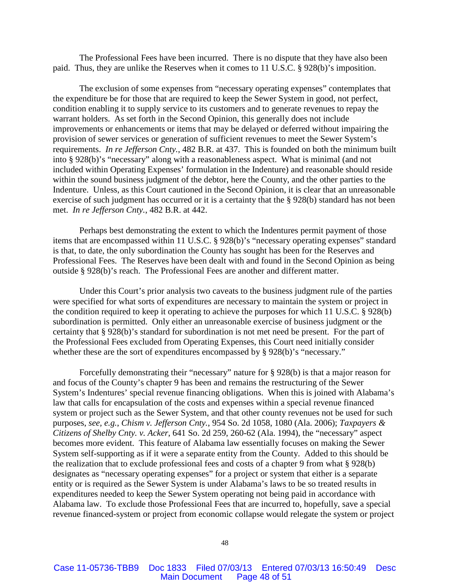The Professional Fees have been incurred. There is no dispute that they have also been paid. Thus, they are unlike the Reserves when it comes to 11 U.S.C. § 928(b)'s imposition.

The exclusion of some expenses from "necessary operating expenses" contemplates that the expenditure be for those that are required to keep the Sewer System in good, not perfect, condition enabling it to supply service to its customers and to generate revenues to repay the warrant holders. As set forth in the Second Opinion, this generally does not include improvements or enhancements or items that may be delayed or deferred without impairing the provision of sewer services or generation of sufficient revenues to meet the Sewer System's requirements. *In re Jefferson Cnty.*, 482 B.R. at 437. This is founded on both the minimum built into § 928(b)'s "necessary" along with a reasonableness aspect. What is minimal (and not included within Operating Expenses' formulation in the Indenture) and reasonable should reside within the sound business judgment of the debtor, here the County, and the other parties to the Indenture. Unless, as this Court cautioned in the Second Opinion, it is clear that an unreasonable exercise of such judgment has occurred or it is a certainty that the § 928(b) standard has not been met. *In re Jefferson Cnty.*, 482 B.R. at 442.

Perhaps best demonstrating the extent to which the Indentures permit payment of those items that are encompassed within 11 U.S.C. § 928(b)'s "necessary operating expenses" standard is that, to date, the only subordination the County has sought has been for the Reserves and Professional Fees. The Reserves have been dealt with and found in the Second Opinion as being outside § 928(b)'s reach. The Professional Fees are another and different matter.

Under this Court's prior analysis two caveats to the business judgment rule of the parties were specified for what sorts of expenditures are necessary to maintain the system or project in the condition required to keep it operating to achieve the purposes for which 11 U.S.C. § 928(b) subordination is permitted. Only either an unreasonable exercise of business judgment or the certainty that § 928(b)'s standard for subordination is not met need be present. For the part of the Professional Fees excluded from Operating Expenses, this Court need initially consider whether these are the sort of expenditures encompassed by § 928(b)'s "necessary."

Forcefully demonstrating their "necessary" nature for § 928(b) is that a major reason for and focus of the County's chapter 9 has been and remains the restructuring of the Sewer System's Indentures' special revenue financing obligations. When this is joined with Alabama's law that calls for encapsulation of the costs and expenses within a special revenue financed system or project such as the Sewer System, and that other county revenues not be used for such purposes, *see, e.g.*, *Chism v. Jefferson Cnty.*, 954 So. 2d 1058, 1080 (Ala. 2006); *Taxpayers & Citizens of Shelby Cnty. v. Acker*, 641 So. 2d 259, 260-62 (Ala. 1994), the "necessary" aspect becomes more evident. This feature of Alabama law essentially focuses on making the Sewer System self-supporting as if it were a separate entity from the County. Added to this should be the realization that to exclude professional fees and costs of a chapter 9 from what § 928(b) designates as "necessary operating expenses" for a project or system that either is a separate entity or is required as the Sewer System is under Alabama's laws to be so treated results in expenditures needed to keep the Sewer System operating not being paid in accordance with Alabama law. To exclude those Professional Fees that are incurred to, hopefully, save a special revenue financed-system or project from economic collapse would relegate the system or project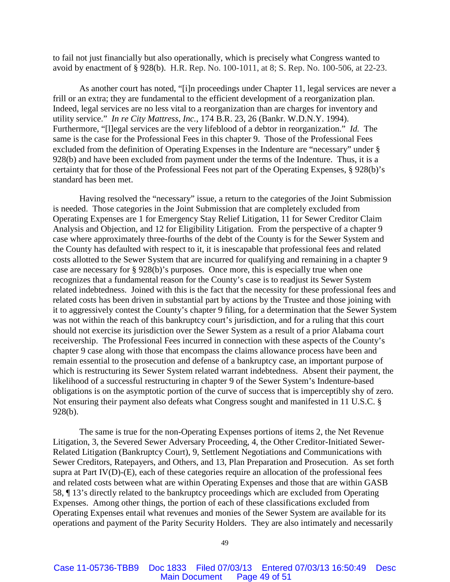to fail not just financially but also operationally, which is precisely what Congress wanted to avoid by enactment of § 928(b). H.R. Rep. No. 100-1011, at 8; S. Rep. No. 100-506, at 22-23.

As another court has noted, "[i]n proceedings under Chapter 11, legal services are never a frill or an extra; they are fundamental to the efficient development of a reorganization plan. Indeed, legal services are no less vital to a reorganization than are charges for inventory and utility service." *In re City Mattress, Inc.*, 174 B.R. 23, 26 (Bankr. W.D.N.Y. 1994). Furthermore, "[l]egal services are the very lifeblood of a debtor in reorganization." *Id.* The same is the case for the Professional Fees in this chapter 9. Those of the Professional Fees excluded from the definition of Operating Expenses in the Indenture are "necessary" under § 928(b) and have been excluded from payment under the terms of the Indenture. Thus, it is a certainty that for those of the Professional Fees not part of the Operating Expenses, § 928(b)'s standard has been met.

Having resolved the "necessary" issue, a return to the categories of the Joint Submission is needed. Those categories in the Joint Submission that are completely excluded from Operating Expenses are 1 for Emergency Stay Relief Litigation, 11 for Sewer Creditor Claim Analysis and Objection, and 12 for Eligibility Litigation. From the perspective of a chapter 9 case where approximately three-fourths of the debt of the County is for the Sewer System and the County has defaulted with respect to it, it is inescapable that professional fees and related costs allotted to the Sewer System that are incurred for qualifying and remaining in a chapter 9 case are necessary for § 928(b)'s purposes. Once more, this is especially true when one recognizes that a fundamental reason for the County's case is to readjust its Sewer System related indebtedness. Joined with this is the fact that the necessity for these professional fees and related costs has been driven in substantial part by actions by the Trustee and those joining with it to aggressively contest the County's chapter 9 filing, for a determination that the Sewer System was not within the reach of this bankruptcy court's jurisdiction, and for a ruling that this court should not exercise its jurisdiction over the Sewer System as a result of a prior Alabama court receivership. The Professional Fees incurred in connection with these aspects of the County's chapter 9 case along with those that encompass the claims allowance process have been and remain essential to the prosecution and defense of a bankruptcy case, an important purpose of which is restructuring its Sewer System related warrant indebtedness. Absent their payment, the likelihood of a successful restructuring in chapter 9 of the Sewer System's Indenture-based obligations is on the asymptotic portion of the curve of success that is imperceptibly shy of zero. Not ensuring their payment also defeats what Congress sought and manifested in 11 U.S.C. § 928(b).

The same is true for the non-Operating Expenses portions of items 2, the Net Revenue Litigation, 3, the Severed Sewer Adversary Proceeding, 4, the Other Creditor-Initiated Sewer-Related Litigation (Bankruptcy Court), 9, Settlement Negotiations and Communications with Sewer Creditors, Ratepayers, and Others, and 13, Plan Preparation and Prosecution. As set forth supra at Part IV(D)-(E), each of these categories require an allocation of the professional fees and related costs between what are within Operating Expenses and those that are within GASB 58, ¶ 13's directly related to the bankruptcy proceedings which are excluded from Operating Expenses. Among other things, the portion of each of these classifications excluded from Operating Expenses entail what revenues and monies of the Sewer System are available for its operations and payment of the Parity Security Holders. They are also intimately and necessarily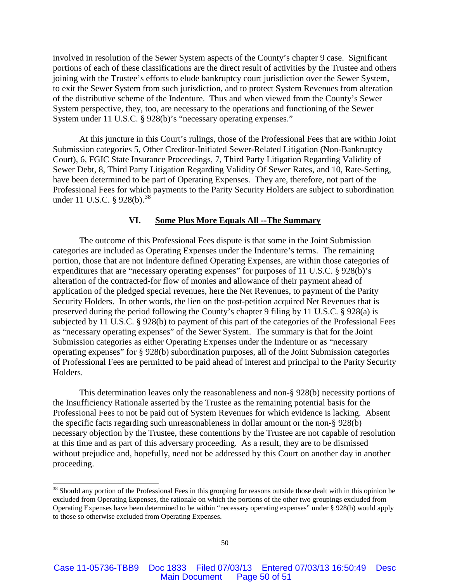involved in resolution of the Sewer System aspects of the County's chapter 9 case. Significant portions of each of these classifications are the direct result of activities by the Trustee and others joining with the Trustee's efforts to elude bankruptcy court jurisdiction over the Sewer System, to exit the Sewer System from such jurisdiction, and to protect System Revenues from alteration of the distributive scheme of the Indenture. Thus and when viewed from the County's Sewer System perspective, they, too, are necessary to the operations and functioning of the Sewer System under 11 U.S.C. § 928(b)'s "necessary operating expenses."

At this juncture in this Court's rulings, those of the Professional Fees that are within Joint Submission categories 5, Other Creditor-Initiated Sewer-Related Litigation (Non-Bankruptcy Court), 6, FGIC State Insurance Proceedings, 7, Third Party Litigation Regarding Validity of Sewer Debt, 8, Third Party Litigation Regarding Validity Of Sewer Rates, and 10, Rate-Setting, have been determined to be part of Operating Expenses. They are, therefore, not part of the Professional Fees for which payments to the Parity Security Holders are subject to subordination under 11 U.S.C. § 928(b).<sup>[38](#page-49-0)</sup>

## **VI. Some Plus More Equals All --The Summary**

The outcome of this Professional Fees dispute is that some in the Joint Submission categories are included as Operating Expenses under the Indenture's terms. The remaining portion, those that are not Indenture defined Operating Expenses, are within those categories of expenditures that are "necessary operating expenses" for purposes of 11 U.S.C. § 928(b)'s alteration of the contracted-for flow of monies and allowance of their payment ahead of application of the pledged special revenues, here the Net Revenues, to payment of the Parity Security Holders. In other words, the lien on the post-petition acquired Net Revenues that is preserved during the period following the County's chapter 9 filing by 11 U.S.C. § 928(a) is subjected by 11 U.S.C. § 928(b) to payment of this part of the categories of the Professional Fees as "necessary operating expenses" of the Sewer System. The summary is that for the Joint Submission categories as either Operating Expenses under the Indenture or as "necessary operating expenses" for § 928(b) subordination purposes, all of the Joint Submission categories of Professional Fees are permitted to be paid ahead of interest and principal to the Parity Security Holders.

This determination leaves only the reasonableness and non-§ 928(b) necessity portions of the Insufficiency Rationale asserted by the Trustee as the remaining potential basis for the Professional Fees to not be paid out of System Revenues for which evidence is lacking. Absent the specific facts regarding such unreasonableness in dollar amount or the non-§ 928(b) necessary objection by the Trustee, these contentions by the Trustee are not capable of resolution at this time and as part of this adversary proceeding. As a result, they are to be dismissed without prejudice and, hopefully, need not be addressed by this Court on another day in another proceeding.

<span id="page-49-0"></span><sup>&</sup>lt;sup>38</sup> Should any portion of the Professional Fees in this grouping for reasons outside those dealt with in this opinion be excluded from Operating Expenses, the rationale on which the portions of the other two groupings excluded from Operating Expenses have been determined to be within "necessary operating expenses" under § 928(b) would apply to those so otherwise excluded from Operating Expenses.